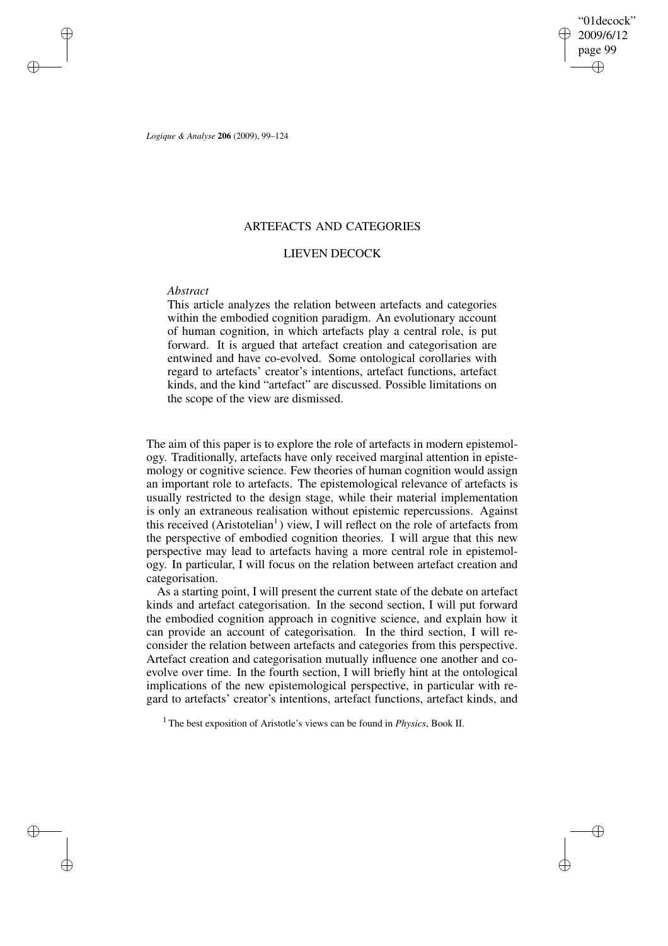"01decock" 2009/6/12 page 99 ✐ ✐

✐

✐

*Logique & Analyse* **206** (2009), 99–124

✐

✐

✐

✐

# ARTEFACTS AND CATEGORIES

# LIEVEN DECOCK

## *Abstract*

This article analyzes the relation between artefacts and categories within the embodied cognition paradigm. An evolutionary account of human cognition, in which artefacts play a central role, is put forward. It is argued that artefact creation and categorisation are entwined and have co-evolved. Some ontological corollaries with regard to artefacts' creator's intentions, artefact functions, artefact kinds, and the kind "artefact" are discussed. Possible limitations on the scope of the view are dismissed.

The aim of this paper is to explore the role of artefacts in modern epistemology. Traditionally, artefacts have only received marginal attention in epistemology or cognitive science. Few theories of human cognition would assign an important role to artefacts. The epistemological relevance of artefacts is usually restricted to the design stage, while their material implementation is only an extraneous realisation without epistemic repercussions. Against this received  $(Aristotelian<sup>1</sup>)$  view, I will reflect on the role of artefacts from the perspective of embodied cognition theories. I will argue that this new perspective may lead to artefacts having a more central role in epistemology. In particular, I will focus on the relation between artefact creation and categorisation.

As a starting point, I will present the current state of the debate on artefact kinds and artefact categorisation. In the second section, I will put forward the embodied cognition approach in cognitive science, and explain how it can provide an account of categorisation. In the third section, I will reconsider the relation between artefacts and categories from this perspective. Artefact creation and categorisation mutually influence one another and coevolve over time. In the fourth section, I will briefly hint at the ontological implications of the new epistemological perspective, in particular with regard to artefacts' creator's intentions, artefact functions, artefact kinds, and

<sup>1</sup> The best exposition of Aristotle's views can be found in *Physics*, Book II.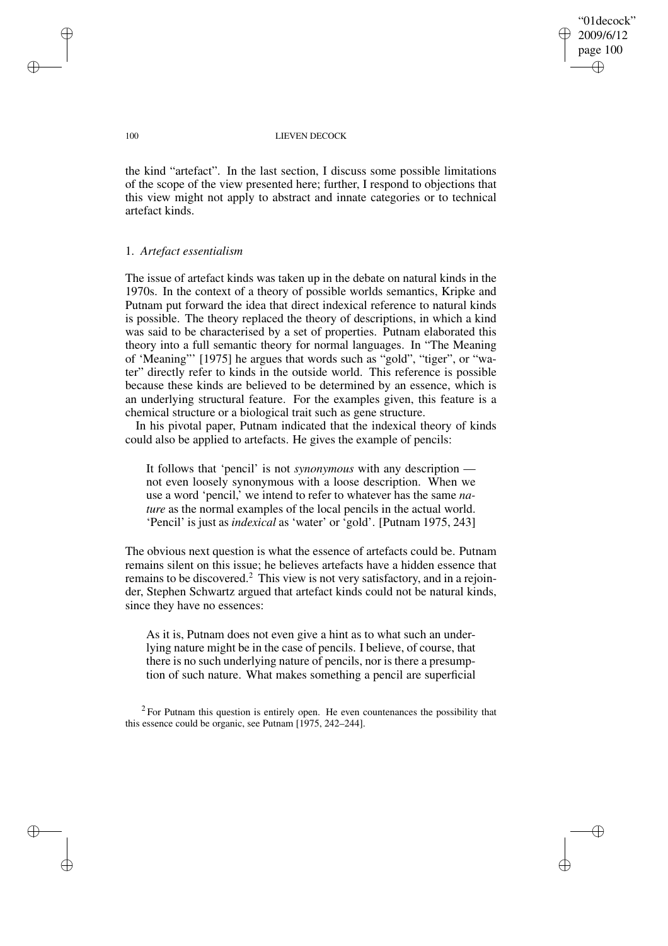"01decock" 2009/6/12 page 100 ✐ ✐

✐

✐

## 100 LIEVEN DECOCK

the kind "artefact". In the last section, I discuss some possible limitations of the scope of the view presented here; further, I respond to objections that this view might not apply to abstract and innate categories or to technical artefact kinds.

## 1. *Artefact essentialism*

The issue of artefact kinds was taken up in the debate on natural kinds in the 1970s. In the context of a theory of possible worlds semantics, Kripke and Putnam put forward the idea that direct indexical reference to natural kinds is possible. The theory replaced the theory of descriptions, in which a kind was said to be characterised by a set of properties. Putnam elaborated this theory into a full semantic theory for normal languages. In "The Meaning of 'Meaning"' [1975] he argues that words such as "gold", "tiger", or "water" directly refer to kinds in the outside world. This reference is possible because these kinds are believed to be determined by an essence, which is an underlying structural feature. For the examples given, this feature is a chemical structure or a biological trait such as gene structure.

In his pivotal paper, Putnam indicated that the indexical theory of kinds could also be applied to artefacts. He gives the example of pencils:

It follows that 'pencil' is not *synonymous* with any description not even loosely synonymous with a loose description. When we use a word 'pencil,' we intend to refer to whatever has the same *nature* as the normal examples of the local pencils in the actual world. 'Pencil' is just as *indexical* as 'water' or 'gold'. [Putnam 1975, 243]

The obvious next question is what the essence of artefacts could be. Putnam remains silent on this issue; he believes artefacts have a hidden essence that remains to be discovered.<sup>2</sup> This view is not very satisfactory, and in a rejoinder, Stephen Schwartz argued that artefact kinds could not be natural kinds, since they have no essences:

As it is, Putnam does not even give a hint as to what such an underlying nature might be in the case of pencils. I believe, of course, that there is no such underlying nature of pencils, nor is there a presumption of such nature. What makes something a pencil are superficial

 $2$  For Putnam this question is entirely open. He even countenances the possibility that this essence could be organic, see Putnam [1975, 242–244].

✐

✐

✐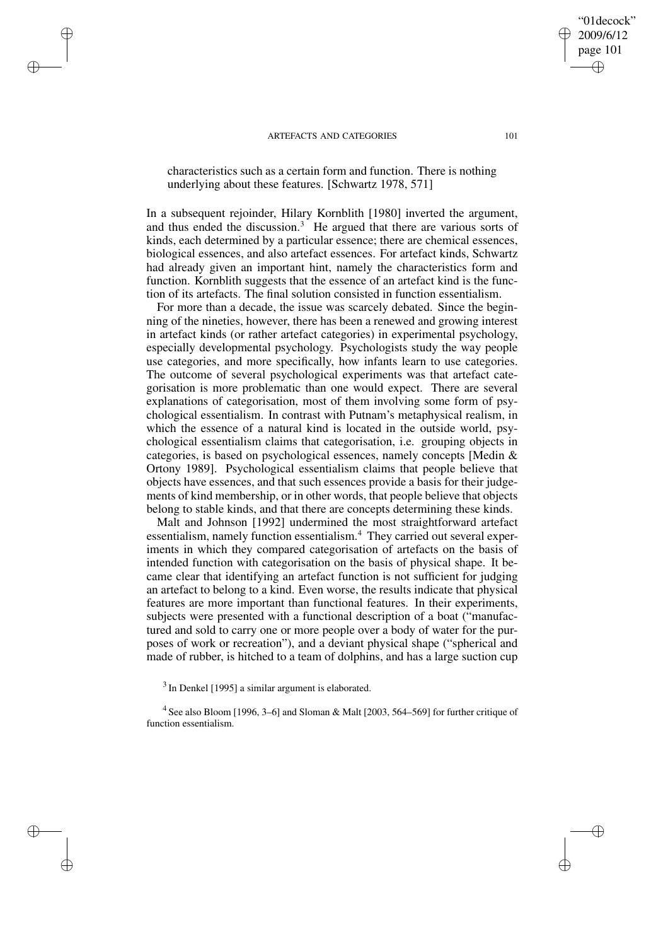✐

✐

✐

✐

characteristics such as a certain form and function. There is nothing underlying about these features. [Schwartz 1978, 571]

In a subsequent rejoinder, Hilary Kornblith [1980] inverted the argument, and thus ended the discussion.<sup>3</sup> He argued that there are various sorts of kinds, each determined by a particular essence; there are chemical essences, biological essences, and also artefact essences. For artefact kinds, Schwartz had already given an important hint, namely the characteristics form and function. Kornblith suggests that the essence of an artefact kind is the function of its artefacts. The final solution consisted in function essentialism.

For more than a decade, the issue was scarcely debated. Since the beginning of the nineties, however, there has been a renewed and growing interest in artefact kinds (or rather artefact categories) in experimental psychology, especially developmental psychology. Psychologists study the way people use categories, and more specifically, how infants learn to use categories. The outcome of several psychological experiments was that artefact categorisation is more problematic than one would expect. There are several explanations of categorisation, most of them involving some form of psychological essentialism. In contrast with Putnam's metaphysical realism, in which the essence of a natural kind is located in the outside world, psychological essentialism claims that categorisation, i.e. grouping objects in categories, is based on psychological essences, namely concepts [Medin & Ortony 1989]. Psychological essentialism claims that people believe that objects have essences, and that such essences provide a basis for their judgements of kind membership, or in other words, that people believe that objects belong to stable kinds, and that there are concepts determining these kinds.

Malt and Johnson [1992] undermined the most straightforward artefact essentialism, namely function essentialism.<sup>4</sup> They carried out several experiments in which they compared categorisation of artefacts on the basis of intended function with categorisation on the basis of physical shape. It became clear that identifying an artefact function is not sufficient for judging an artefact to belong to a kind. Even worse, the results indicate that physical features are more important than functional features. In their experiments, subjects were presented with a functional description of a boat ("manufactured and sold to carry one or more people over a body of water for the purposes of work or recreation"), and a deviant physical shape ("spherical and made of rubber, is hitched to a team of dolphins, and has a large suction cup

<sup>3</sup> In Denkel [1995] a similar argument is elaborated.

<sup>4</sup> See also Bloom [1996, 3–6] and Sloman & Malt [2003, 564–569] for further critique of function essentialism.

"01decock" 2009/6/12 page 101

✐

✐

✐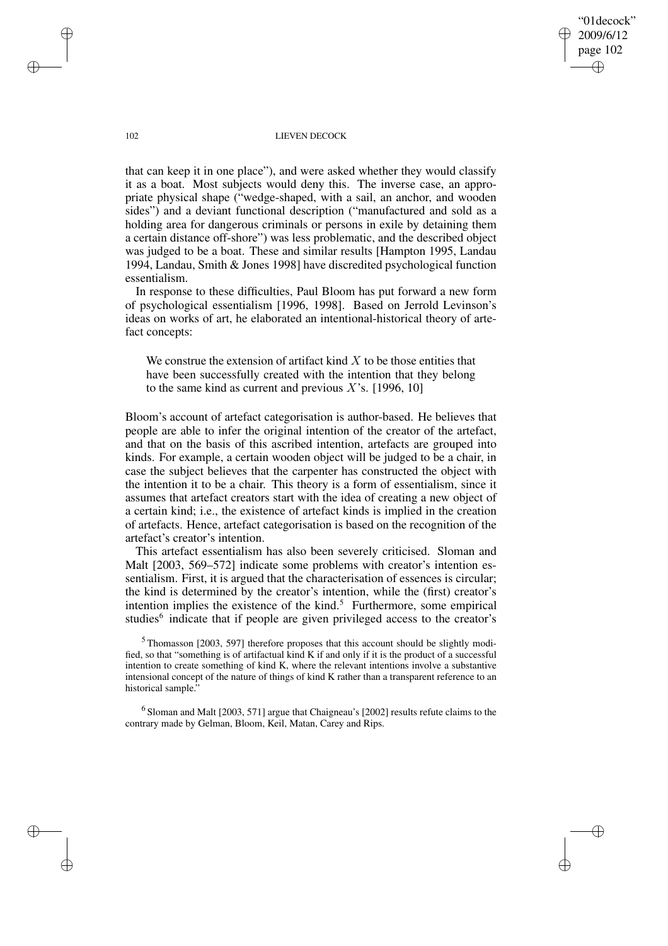"01decock" 2009/6/12 page 102 ✐ ✐

✐

✐

#### 102 LIEVEN DECOCK

that can keep it in one place"), and were asked whether they would classify it as a boat. Most subjects would deny this. The inverse case, an appropriate physical shape ("wedge-shaped, with a sail, an anchor, and wooden sides") and a deviant functional description ("manufactured and sold as a holding area for dangerous criminals or persons in exile by detaining them a certain distance off-shore") was less problematic, and the described object was judged to be a boat. These and similar results [Hampton 1995, Landau 1994, Landau, Smith & Jones 1998] have discredited psychological function essentialism.

In response to these difficulties, Paul Bloom has put forward a new form of psychological essentialism [1996, 1998]. Based on Jerrold Levinson's ideas on works of art, he elaborated an intentional-historical theory of artefact concepts:

We construe the extension of artifact kind  $X$  to be those entities that have been successfully created with the intention that they belong to the same kind as current and previous  $X$ 's. [1996, 10]

Bloom's account of artefact categorisation is author-based. He believes that people are able to infer the original intention of the creator of the artefact, and that on the basis of this ascribed intention, artefacts are grouped into kinds. For example, a certain wooden object will be judged to be a chair, in case the subject believes that the carpenter has constructed the object with the intention it to be a chair. This theory is a form of essentialism, since it assumes that artefact creators start with the idea of creating a new object of a certain kind; i.e., the existence of artefact kinds is implied in the creation of artefacts. Hence, artefact categorisation is based on the recognition of the artefact's creator's intention.

This artefact essentialism has also been severely criticised. Sloman and Malt [2003, 569–572] indicate some problems with creator's intention essentialism. First, it is argued that the characterisation of essences is circular; the kind is determined by the creator's intention, while the (first) creator's intention implies the existence of the kind. $5$  Furthermore, some empirical studies<sup>6</sup> indicate that if people are given privileged access to the creator's

<sup>5</sup> Thomasson [2003, 597] therefore proposes that this account should be slightly modified, so that "something is of artifactual kind K if and only if it is the product of a successful intention to create something of kind K, where the relevant intentions involve a substantive intensional concept of the nature of things of kind K rather than a transparent reference to an historical sample."

 $^6$ Sloman and Malt [2003, 571] argue that Chaigneau's [2002] results refute claims to the contrary made by Gelman, Bloom, Keil, Matan, Carey and Rips.

✐

✐

✐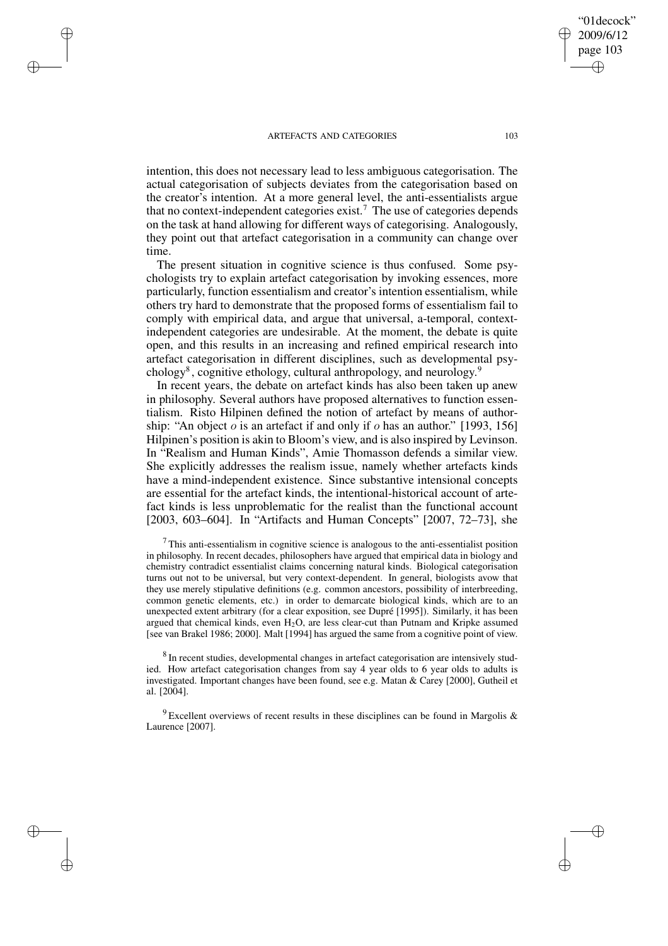✐

✐

✐

✐

intention, this does not necessary lead to less ambiguous categorisation. The actual categorisation of subjects deviates from the categorisation based on the creator's intention. At a more general level, the anti-essentialists argue that no context-independent categories exist.<sup>7</sup> The use of categories depends on the task at hand allowing for different ways of categorising. Analogously, they point out that artefact categorisation in a community can change over time.

The present situation in cognitive science is thus confused. Some psychologists try to explain artefact categorisation by invoking essences, more particularly, function essentialism and creator's intention essentialism, while others try hard to demonstrate that the proposed forms of essentialism fail to comply with empirical data, and argue that universal, a-temporal, contextindependent categories are undesirable. At the moment, the debate is quite open, and this results in an increasing and refined empirical research into artefact categorisation in different disciplines, such as developmental psychology<sup>8</sup>, cognitive ethology, cultural anthropology, and neurology.<sup>9</sup>

In recent years, the debate on artefact kinds has also been taken up anew in philosophy. Several authors have proposed alternatives to function essentialism. Risto Hilpinen defined the notion of artefact by means of authorship: "An object  $\sigma$  is an artefact if and only if  $\sigma$  has an author." [1993, 156] Hilpinen's position is akin to Bloom's view, and is also inspired by Levinson. In "Realism and Human Kinds", Amie Thomasson defends a similar view. She explicitly addresses the realism issue, namely whether artefacts kinds have a mind-independent existence. Since substantive intensional concepts are essential for the artefact kinds, the intentional-historical account of artefact kinds is less unproblematic for the realist than the functional account [2003, 603–604]. In "Artifacts and Human Concepts" [2007, 72–73], she

 $7$  This anti-essentialism in cognitive science is analogous to the anti-essentialist position in philosophy. In recent decades, philosophers have argued that empirical data in biology and chemistry contradict essentialist claims concerning natural kinds. Biological categorisation turns out not to be universal, but very context-dependent. In general, biologists avow that they use merely stipulative definitions (e.g. common ancestors, possibility of interbreeding, common genetic elements, etc.) in order to demarcate biological kinds, which are to an unexpected extent arbitrary (for a clear exposition, see Dupré [1995]). Similarly, it has been argued that chemical kinds, even  $H_2O$ , are less clear-cut than Putnam and Kripke assumed [see van Brakel 1986; 2000]. Malt [1994] has argued the same from a cognitive point of view.

<sup>8</sup> In recent studies, developmental changes in artefact categorisation are intensively studied. How artefact categorisation changes from say 4 year olds to 6 year olds to adults is investigated. Important changes have been found, see e.g. Matan & Carey [2000], Gutheil et al. [2004].

 $9$  Excellent overviews of recent results in these disciplines can be found in Margolis & Laurence [2007].

"01decock" 2009/6/12 page 103

✐

✐

✐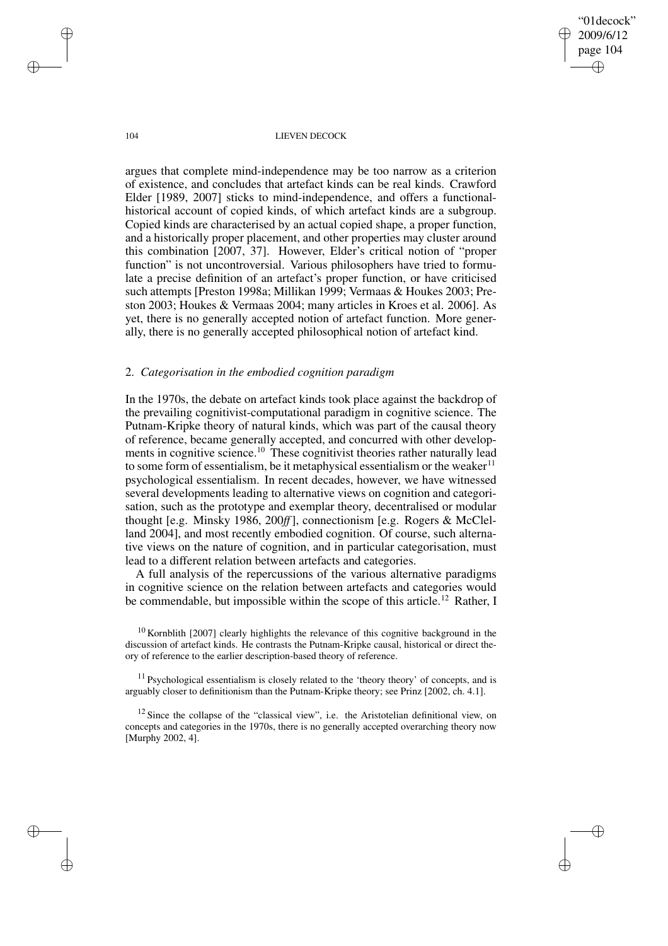"01decock" 2009/6/12 page 104 ✐ ✐

✐

✐

## 104 LIEVEN DECOCK

argues that complete mind-independence may be too narrow as a criterion of existence, and concludes that artefact kinds can be real kinds. Crawford Elder [1989, 2007] sticks to mind-independence, and offers a functionalhistorical account of copied kinds, of which artefact kinds are a subgroup. Copied kinds are characterised by an actual copied shape, a proper function, and a historically proper placement, and other properties may cluster around this combination [2007, 37]. However, Elder's critical notion of "proper function" is not uncontroversial. Various philosophers have tried to formulate a precise definition of an artefact's proper function, or have criticised such attempts [Preston 1998a; Millikan 1999; Vermaas & Houkes 2003; Preston 2003; Houkes & Vermaas 2004; many articles in Kroes et al. 2006]. As yet, there is no generally accepted notion of artefact function. More generally, there is no generally accepted philosophical notion of artefact kind.

## 2. *Categorisation in the embodied cognition paradigm*

In the 1970s, the debate on artefact kinds took place against the backdrop of the prevailing cognitivist-computational paradigm in cognitive science. The Putnam-Kripke theory of natural kinds, which was part of the causal theory of reference, became generally accepted, and concurred with other developments in cognitive science.<sup>10</sup> These cognitivist theories rather naturally lead to some form of essentialism, be it metaphysical essentialism or the weaker $11$ psychological essentialism. In recent decades, however, we have witnessed several developments leading to alternative views on cognition and categorisation, such as the prototype and exemplar theory, decentralised or modular thought [e.g. Minsky 1986, 200*ff*], connectionism [e.g. Rogers & McClelland 2004], and most recently embodied cognition. Of course, such alternative views on the nature of cognition, and in particular categorisation, must lead to a different relation between artefacts and categories.

A full analysis of the repercussions of the various alternative paradigms in cognitive science on the relation between artefacts and categories would be commendable, but impossible within the scope of this article.<sup>12</sup> Rather, I

 $10$  Kornblith [2007] clearly highlights the relevance of this cognitive background in the discussion of artefact kinds. He contrasts the Putnam-Kripke causal, historical or direct theory of reference to the earlier description-based theory of reference.

 $11$  Psychological essentialism is closely related to the 'theory theory' of concepts, and is arguably closer to definitionism than the Putnam-Kripke theory; see Prinz [2002, ch. 4.1].

 $12$  Since the collapse of the "classical view", i.e. the Aristotelian definitional view, on concepts and categories in the 1970s, there is no generally accepted overarching theory now [Murphy 2002, 4].

✐

✐

✐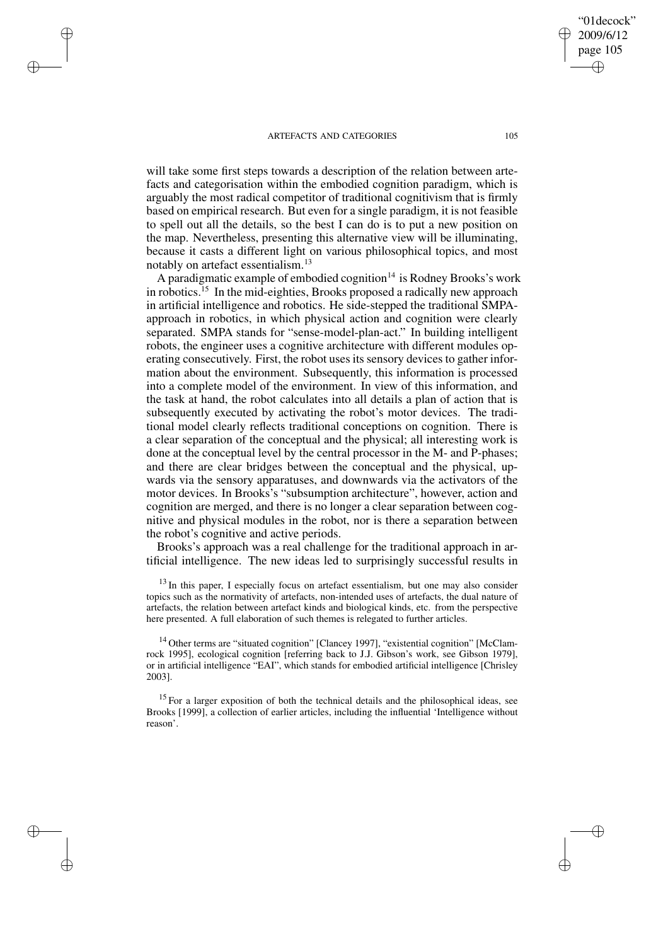✐

✐

✐

✐

will take some first steps towards a description of the relation between artefacts and categorisation within the embodied cognition paradigm, which is arguably the most radical competitor of traditional cognitivism that is firmly based on empirical research. But even for a single paradigm, it is not feasible to spell out all the details, so the best I can do is to put a new position on the map. Nevertheless, presenting this alternative view will be illuminating, because it casts a different light on various philosophical topics, and most notably on artefact essentialism.<sup>13</sup>

A paradigmatic example of embodied cognition $14$  is Rodney Brooks's work in robotics.<sup>15</sup> In the mid-eighties, Brooks proposed a radically new approach in artificial intelligence and robotics. He side-stepped the traditional SMPAapproach in robotics, in which physical action and cognition were clearly separated. SMPA stands for "sense-model-plan-act." In building intelligent robots, the engineer uses a cognitive architecture with different modules operating consecutively. First, the robot uses its sensory devices to gather information about the environment. Subsequently, this information is processed into a complete model of the environment. In view of this information, and the task at hand, the robot calculates into all details a plan of action that is subsequently executed by activating the robot's motor devices. The traditional model clearly reflects traditional conceptions on cognition. There is a clear separation of the conceptual and the physical; all interesting work is done at the conceptual level by the central processor in the M- and P-phases; and there are clear bridges between the conceptual and the physical, upwards via the sensory apparatuses, and downwards via the activators of the motor devices. In Brooks's "subsumption architecture", however, action and cognition are merged, and there is no longer a clear separation between cognitive and physical modules in the robot, nor is there a separation between the robot's cognitive and active periods.

Brooks's approach was a real challenge for the traditional approach in artificial intelligence. The new ideas led to surprisingly successful results in

 $13$  In this paper, I especially focus on artefact essentialism, but one may also consider topics such as the normativity of artefacts, non-intended uses of artefacts, the dual nature of artefacts, the relation between artefact kinds and biological kinds, etc. from the perspective here presented. A full elaboration of such themes is relegated to further articles.

<sup>14</sup> Other terms are "situated cognition" [Clancey 1997], "existential cognition" [McClamrock 1995], ecological cognition [referring back to J.J. Gibson's work, see Gibson 1979], or in artificial intelligence "EAI", which stands for embodied artificial intelligence [Chrisley 2003].

 $15$  For a larger exposition of both the technical details and the philosophical ideas, see Brooks [1999], a collection of earlier articles, including the influential 'Intelligence without reason'.

"01decock" 2009/6/12 page 105

✐

✐

✐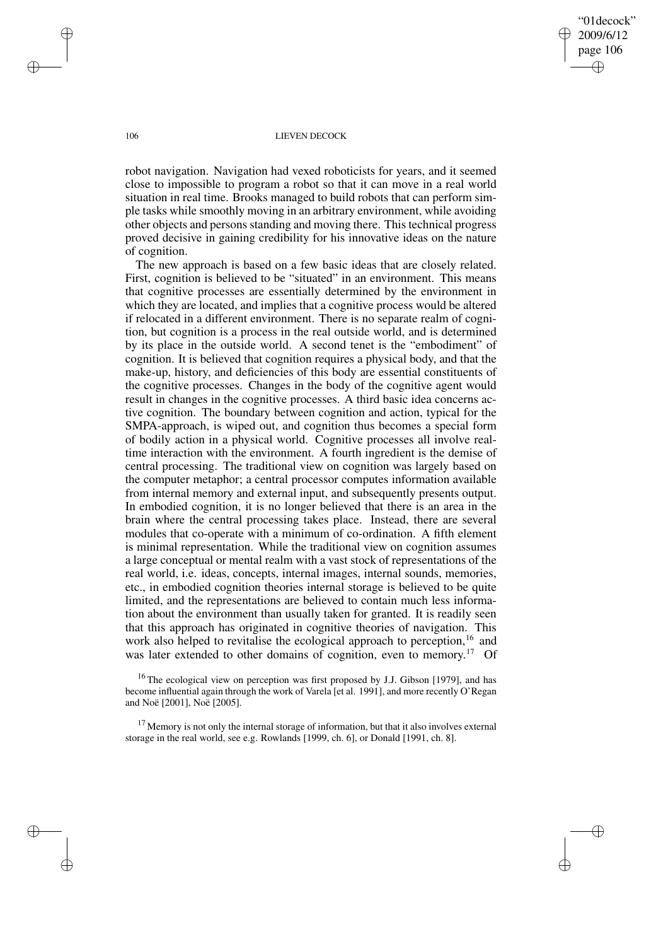"01decock" 2009/6/12 page 106 ✐ ✐

✐

✐

## 106 LIEVEN DECOCK

robot navigation. Navigation had vexed roboticists for years, and it seemed close to impossible to program a robot so that it can move in a real world situation in real time. Brooks managed to build robots that can perform simple tasks while smoothly moving in an arbitrary environment, while avoiding other objects and persons standing and moving there. This technical progress proved decisive in gaining credibility for his innovative ideas on the nature of cognition.

The new approach is based on a few basic ideas that are closely related. First, cognition is believed to be "situated" in an environment. This means that cognitive processes are essentially determined by the environment in which they are located, and implies that a cognitive process would be altered if relocated in a different environment. There is no separate realm of cognition, but cognition is a process in the real outside world, and is determined by its place in the outside world. A second tenet is the "embodiment" of cognition. It is believed that cognition requires a physical body, and that the make-up, history, and deficiencies of this body are essential constituents of the cognitive processes. Changes in the body of the cognitive agent would result in changes in the cognitive processes. A third basic idea concerns active cognition. The boundary between cognition and action, typical for the SMPA-approach, is wiped out, and cognition thus becomes a special form of bodily action in a physical world. Cognitive processes all involve realtime interaction with the environment. A fourth ingredient is the demise of central processing. The traditional view on cognition was largely based on the computer metaphor; a central processor computes information available from internal memory and external input, and subsequently presents output. In embodied cognition, it is no longer believed that there is an area in the brain where the central processing takes place. Instead, there are several modules that co-operate with a minimum of co-ordination. A fifth element is minimal representation. While the traditional view on cognition assumes a large conceptual or mental realm with a vast stock of representations of the real world, i.e. ideas, concepts, internal images, internal sounds, memories, etc., in embodied cognition theories internal storage is believed to be quite limited, and the representations are believed to contain much less information about the environment than usually taken for granted. It is readily seen that this approach has originated in cognitive theories of navigation. This work also helped to revitalise the ecological approach to perception,<sup>16</sup> and was later extended to other domains of cognition, even to memory.<sup>17</sup> Of

<sup>16</sup> The ecological view on perception was first proposed by J.J. Gibson [1979], and has become influential again through the work of Varela [et al. 1991], and more recently O'Regan and Noë [2001], Noë [2005].

 $17$  Memory is not only the internal storage of information, but that it also involves external storage in the real world, see e.g. Rowlands [1999, ch. 6], or Donald [1991, ch. 8].

✐

✐

✐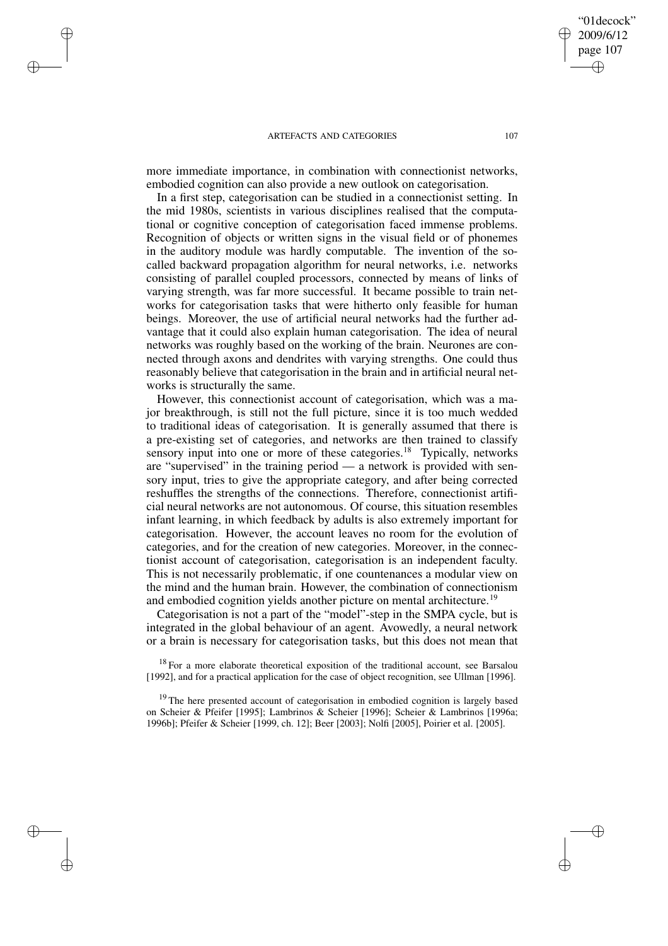✐

✐

✐

✐

more immediate importance, in combination with connectionist networks, embodied cognition can also provide a new outlook on categorisation.

In a first step, categorisation can be studied in a connectionist setting. In the mid 1980s, scientists in various disciplines realised that the computational or cognitive conception of categorisation faced immense problems. Recognition of objects or written signs in the visual field or of phonemes in the auditory module was hardly computable. The invention of the socalled backward propagation algorithm for neural networks, i.e. networks consisting of parallel coupled processors, connected by means of links of varying strength, was far more successful. It became possible to train networks for categorisation tasks that were hitherto only feasible for human beings. Moreover, the use of artificial neural networks had the further advantage that it could also explain human categorisation. The idea of neural networks was roughly based on the working of the brain. Neurones are connected through axons and dendrites with varying strengths. One could thus reasonably believe that categorisation in the brain and in artificial neural networks is structurally the same.

However, this connectionist account of categorisation, which was a major breakthrough, is still not the full picture, since it is too much wedded to traditional ideas of categorisation. It is generally assumed that there is a pre-existing set of categories, and networks are then trained to classify sensory input into one or more of these categories.<sup>18</sup> Typically, networks are "supervised" in the training period — a network is provided with sensory input, tries to give the appropriate category, and after being corrected reshuffles the strengths of the connections. Therefore, connectionist artificial neural networks are not autonomous. Of course, this situation resembles infant learning, in which feedback by adults is also extremely important for categorisation. However, the account leaves no room for the evolution of categories, and for the creation of new categories. Moreover, in the connectionist account of categorisation, categorisation is an independent faculty. This is not necessarily problematic, if one countenances a modular view on the mind and the human brain. However, the combination of connectionism and embodied cognition yields another picture on mental architecture.<sup>19</sup>

Categorisation is not a part of the "model"-step in the SMPA cycle, but is integrated in the global behaviour of an agent. Avowedly, a neural network or a brain is necessary for categorisation tasks, but this does not mean that

 $18$  For a more elaborate theoretical exposition of the traditional account, see Barsalou [1992], and for a practical application for the case of object recognition, see Ullman [1996].

<sup>19</sup> The here presented account of categorisation in embodied cognition is largely based on Scheier & Pfeifer [1995]; Lambrinos & Scheier [1996]; Scheier & Lambrinos [1996a; 1996b]; Pfeifer & Scheier [1999, ch. 12]; Beer [2003]; Nolfi [2005], Poirier et al. [2005].

"01decock" 2009/6/12 page 107

✐

✐

✐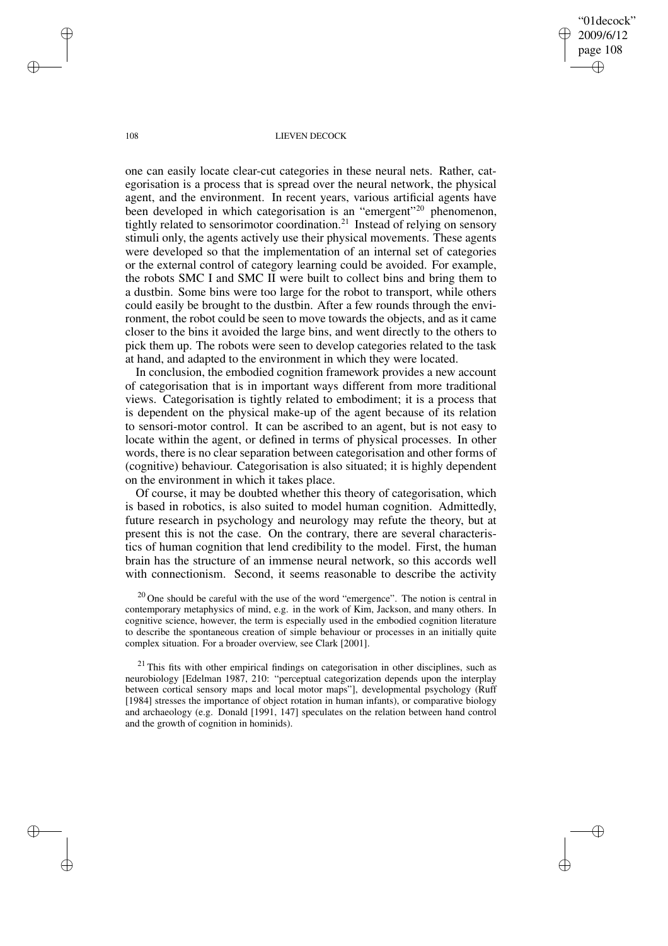"01decock" 2009/6/12 page 108 ✐ ✐

✐

✐

## 108 LIEVEN DECOCK

one can easily locate clear-cut categories in these neural nets. Rather, categorisation is a process that is spread over the neural network, the physical agent, and the environment. In recent years, various artificial agents have been developed in which categorisation is an "emergent"<sup>20</sup> phenomenon, tightly related to sensorimotor coordination.<sup>21</sup> Instead of relying on sensory stimuli only, the agents actively use their physical movements. These agents were developed so that the implementation of an internal set of categories or the external control of category learning could be avoided. For example, the robots SMC I and SMC II were built to collect bins and bring them to a dustbin. Some bins were too large for the robot to transport, while others could easily be brought to the dustbin. After a few rounds through the environment, the robot could be seen to move towards the objects, and as it came closer to the bins it avoided the large bins, and went directly to the others to pick them up. The robots were seen to develop categories related to the task at hand, and adapted to the environment in which they were located.

In conclusion, the embodied cognition framework provides a new account of categorisation that is in important ways different from more traditional views. Categorisation is tightly related to embodiment; it is a process that is dependent on the physical make-up of the agent because of its relation to sensori-motor control. It can be ascribed to an agent, but is not easy to locate within the agent, or defined in terms of physical processes. In other words, there is no clear separation between categorisation and other forms of (cognitive) behaviour. Categorisation is also situated; it is highly dependent on the environment in which it takes place.

Of course, it may be doubted whether this theory of categorisation, which is based in robotics, is also suited to model human cognition. Admittedly, future research in psychology and neurology may refute the theory, but at present this is not the case. On the contrary, there are several characteristics of human cognition that lend credibility to the model. First, the human brain has the structure of an immense neural network, so this accords well with connectionism. Second, it seems reasonable to describe the activity

 $20$  One should be careful with the use of the word "emergence". The notion is central in contemporary metaphysics of mind, e.g. in the work of Kim, Jackson, and many others. In cognitive science, however, the term is especially used in the embodied cognition literature to describe the spontaneous creation of simple behaviour or processes in an initially quite complex situation. For a broader overview, see Clark [2001].

 $21$  This fits with other empirical findings on categorisation in other disciplines, such as neurobiology [Edelman 1987, 210: "perceptual categorization depends upon the interplay between cortical sensory maps and local motor maps"], developmental psychology (Ruff [1984] stresses the importance of object rotation in human infants), or comparative biology and archaeology (e.g. Donald [1991, 147] speculates on the relation between hand control and the growth of cognition in hominids).

✐

✐

✐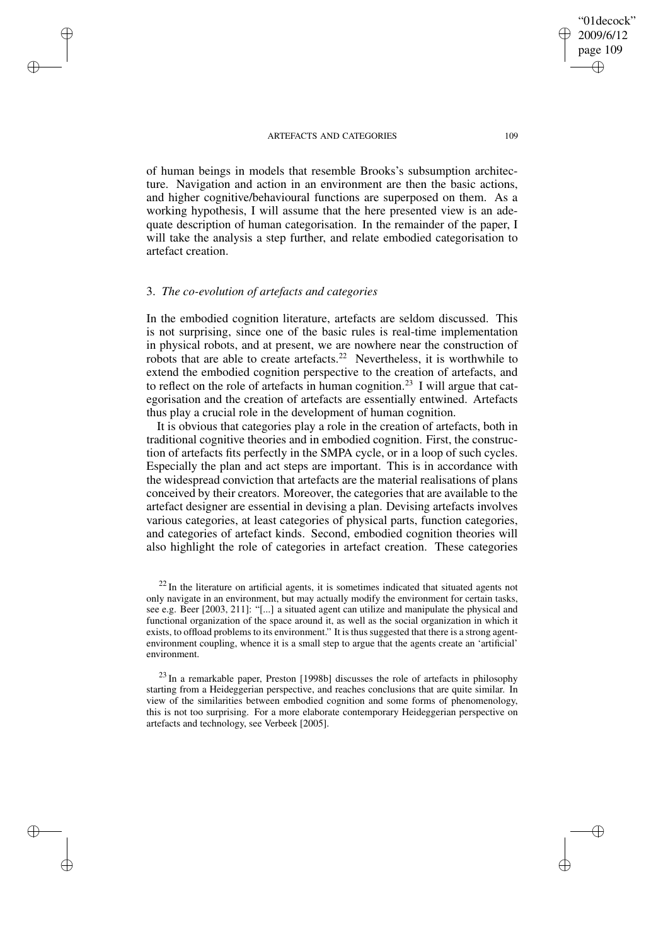page 109 ✐

✐

✐

✐

"01decock" 2009/6/12

of human beings in models that resemble Brooks's subsumption architecture. Navigation and action in an environment are then the basic actions, and higher cognitive/behavioural functions are superposed on them. As a working hypothesis, I will assume that the here presented view is an adequate description of human categorisation. In the remainder of the paper, I will take the analysis a step further, and relate embodied categorisation to artefact creation.

## 3. *The co-evolution of artefacts and categories*

✐

✐

✐

✐

In the embodied cognition literature, artefacts are seldom discussed. This is not surprising, since one of the basic rules is real-time implementation in physical robots, and at present, we are nowhere near the construction of robots that are able to create artefacts.<sup>22</sup> Nevertheless, it is worthwhile to extend the embodied cognition perspective to the creation of artefacts, and to reflect on the role of artefacts in human cognition.<sup>23</sup> I will argue that categorisation and the creation of artefacts are essentially entwined. Artefacts thus play a crucial role in the development of human cognition.

It is obvious that categories play a role in the creation of artefacts, both in traditional cognitive theories and in embodied cognition. First, the construction of artefacts fits perfectly in the SMPA cycle, or in a loop of such cycles. Especially the plan and act steps are important. This is in accordance with the widespread conviction that artefacts are the material realisations of plans conceived by their creators. Moreover, the categories that are available to the artefact designer are essential in devising a plan. Devising artefacts involves various categories, at least categories of physical parts, function categories, and categories of artefact kinds. Second, embodied cognition theories will also highlight the role of categories in artefact creation. These categories

 $22$  In the literature on artificial agents, it is sometimes indicated that situated agents not only navigate in an environment, but may actually modify the environment for certain tasks, see e.g. Beer [2003, 211]: "[...] a situated agent can utilize and manipulate the physical and functional organization of the space around it, as well as the social organization in which it exists, to offload problems to its environment." It is thus suggested that there is a strong agentenvironment coupling, whence it is a small step to argue that the agents create an 'artificial' environment.

 $^{23}$  In a remarkable paper, Preston [1998b] discusses the role of artefacts in philosophy starting from a Heideggerian perspective, and reaches conclusions that are quite similar. In view of the similarities between embodied cognition and some forms of phenomenology, this is not too surprising. For a more elaborate contemporary Heideggerian perspective on artefacts and technology, see Verbeek [2005].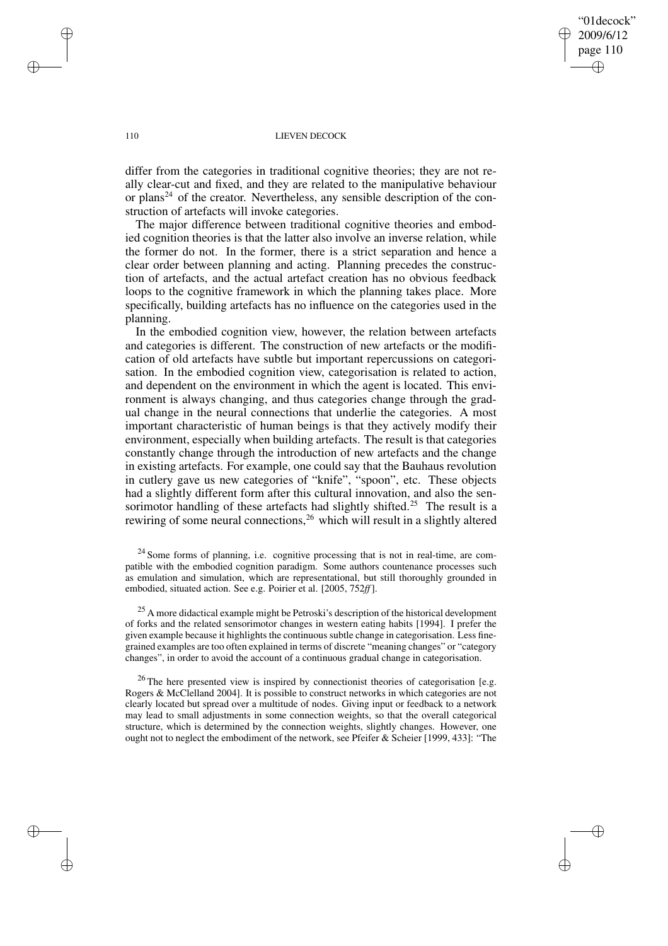"01decock" 2009/6/12 page 110 ✐ ✐

✐

✐

## 110 LIEVEN DECOCK

differ from the categories in traditional cognitive theories; they are not really clear-cut and fixed, and they are related to the manipulative behaviour or plans<sup>24</sup> of the creator. Nevertheless, any sensible description of the construction of artefacts will invoke categories.

The major difference between traditional cognitive theories and embodied cognition theories is that the latter also involve an inverse relation, while the former do not. In the former, there is a strict separation and hence a clear order between planning and acting. Planning precedes the construction of artefacts, and the actual artefact creation has no obvious feedback loops to the cognitive framework in which the planning takes place. More specifically, building artefacts has no influence on the categories used in the planning.

In the embodied cognition view, however, the relation between artefacts and categories is different. The construction of new artefacts or the modification of old artefacts have subtle but important repercussions on categorisation. In the embodied cognition view, categorisation is related to action, and dependent on the environment in which the agent is located. This environment is always changing, and thus categories change through the gradual change in the neural connections that underlie the categories. A most important characteristic of human beings is that they actively modify their environment, especially when building artefacts. The result is that categories constantly change through the introduction of new artefacts and the change in existing artefacts. For example, one could say that the Bauhaus revolution in cutlery gave us new categories of "knife", "spoon", etc. These objects had a slightly different form after this cultural innovation, and also the sensorimotor handling of these artefacts had slightly shifted.<sup>25</sup> The result is a rewiring of some neural connections,<sup>26</sup> which will result in a slightly altered

 $24$  Some forms of planning, i.e. cognitive processing that is not in real-time, are compatible with the embodied cognition paradigm. Some authors countenance processes such as emulation and simulation, which are representational, but still thoroughly grounded in embodied, situated action. See e.g. Poirier et al. [2005, 752*ff*].

<sup>25</sup> A more didactical example might be Petroski's description of the historical development of forks and the related sensorimotor changes in western eating habits [1994]. I prefer the given example because it highlights the continuous subtle change in categorisation. Less finegrained examples are too often explained in terms of discrete "meaning changes" or "category changes", in order to avoid the account of a continuous gradual change in categorisation.

 $^{26}$  The here presented view is inspired by connectionist theories of categorisation [e.g. Rogers & McClelland 2004]. It is possible to construct networks in which categories are not clearly located but spread over a multitude of nodes. Giving input or feedback to a network may lead to small adjustments in some connection weights, so that the overall categorical structure, which is determined by the connection weights, slightly changes. However, one ought not to neglect the embodiment of the network, see Pfeifer & Scheier [1999, 433]: "The

✐

✐

✐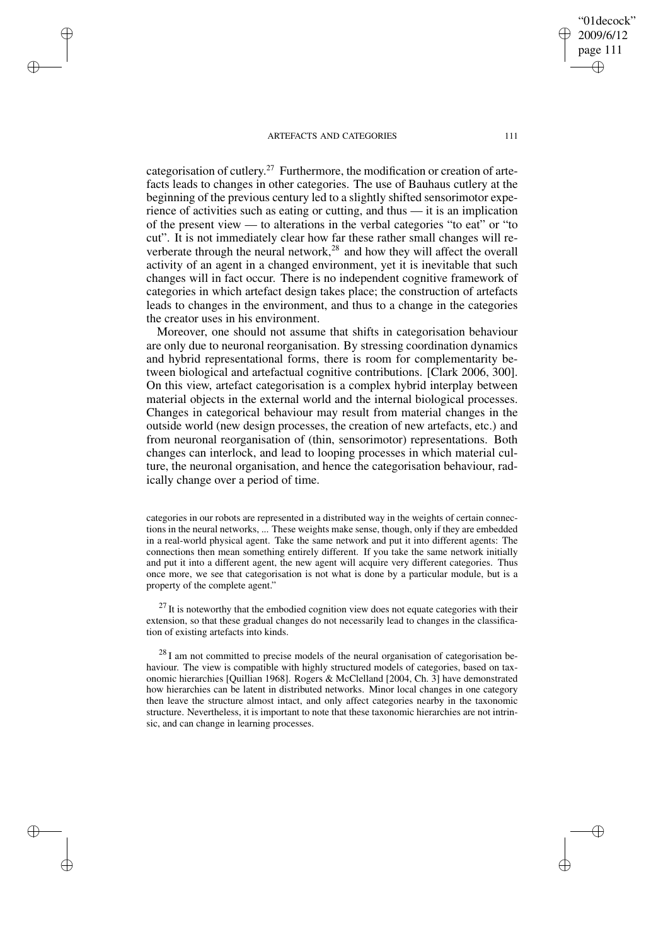✐

✐

✐

✐

categorisation of cutlery.<sup>27</sup> Furthermore, the modification or creation of artefacts leads to changes in other categories. The use of Bauhaus cutlery at the beginning of the previous century led to a slightly shifted sensorimotor experience of activities such as eating or cutting, and thus — it is an implication of the present view — to alterations in the verbal categories "to eat" or "to cut". It is not immediately clear how far these rather small changes will reverberate through the neural network,<sup>28</sup> and how they will affect the overall activity of an agent in a changed environment, yet it is inevitable that such changes will in fact occur. There is no independent cognitive framework of categories in which artefact design takes place; the construction of artefacts leads to changes in the environment, and thus to a change in the categories the creator uses in his environment.

Moreover, one should not assume that shifts in categorisation behaviour are only due to neuronal reorganisation. By stressing coordination dynamics and hybrid representational forms, there is room for complementarity between biological and artefactual cognitive contributions. [Clark 2006, 300]. On this view, artefact categorisation is a complex hybrid interplay between material objects in the external world and the internal biological processes. Changes in categorical behaviour may result from material changes in the outside world (new design processes, the creation of new artefacts, etc.) and from neuronal reorganisation of (thin, sensorimotor) representations. Both changes can interlock, and lead to looping processes in which material culture, the neuronal organisation, and hence the categorisation behaviour, radically change over a period of time.

categories in our robots are represented in a distributed way in the weights of certain connections in the neural networks, ... These weights make sense, though, only if they are embedded in a real-world physical agent. Take the same network and put it into different agents: The connections then mean something entirely different. If you take the same network initially and put it into a different agent, the new agent will acquire very different categories. Thus once more, we see that categorisation is not what is done by a particular module, but is a property of the complete agent."

 $27$  It is noteworthy that the embodied cognition view does not equate categories with their extension, so that these gradual changes do not necessarily lead to changes in the classification of existing artefacts into kinds.

 $^{28}$  I am not committed to precise models of the neural organisation of categorisation behaviour. The view is compatible with highly structured models of categories, based on taxonomic hierarchies [Quillian 1968]. Rogers & McClelland [2004, Ch. 3] have demonstrated how hierarchies can be latent in distributed networks. Minor local changes in one category then leave the structure almost intact, and only affect categories nearby in the taxonomic structure. Nevertheless, it is important to note that these taxonomic hierarchies are not intrinsic, and can change in learning processes.

"01decock" 2009/6/12 page 111

✐

✐

✐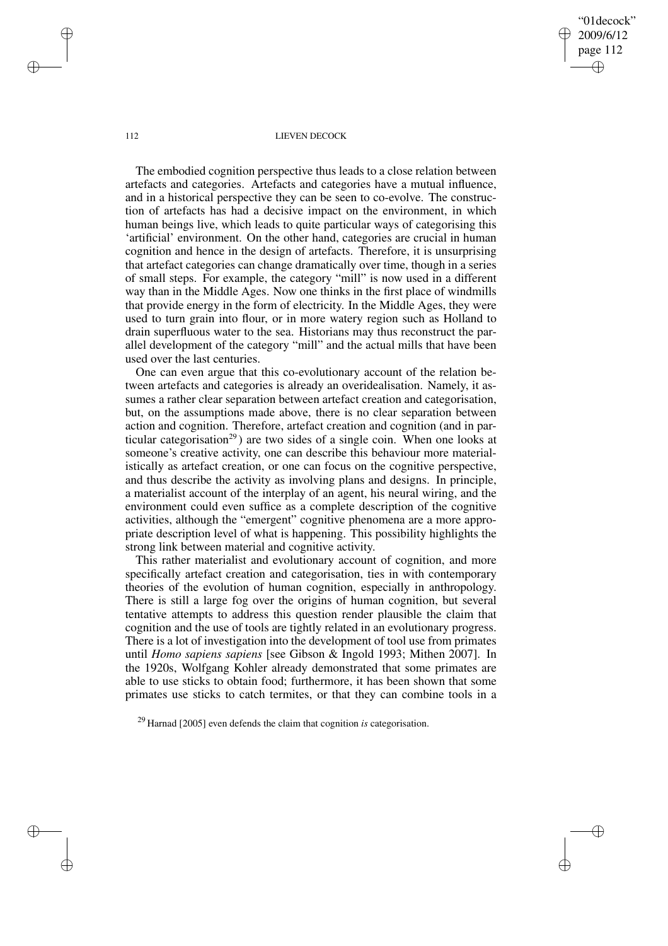"01decock" 2009/6/12 page 112 ✐ ✐

✐

✐

## 112 LIEVEN DECOCK

The embodied cognition perspective thus leads to a close relation between artefacts and categories. Artefacts and categories have a mutual influence, and in a historical perspective they can be seen to co-evolve. The construction of artefacts has had a decisive impact on the environment, in which human beings live, which leads to quite particular ways of categorising this 'artificial' environment. On the other hand, categories are crucial in human cognition and hence in the design of artefacts. Therefore, it is unsurprising that artefact categories can change dramatically over time, though in a series of small steps. For example, the category "mill" is now used in a different way than in the Middle Ages. Now one thinks in the first place of windmills that provide energy in the form of electricity. In the Middle Ages, they were used to turn grain into flour, or in more watery region such as Holland to drain superfluous water to the sea. Historians may thus reconstruct the parallel development of the category "mill" and the actual mills that have been used over the last centuries.

One can even argue that this co-evolutionary account of the relation between artefacts and categories is already an overidealisation. Namely, it assumes a rather clear separation between artefact creation and categorisation, but, on the assumptions made above, there is no clear separation between action and cognition. Therefore, artefact creation and cognition (and in particular categorisation<sup>29</sup>) are two sides of a single coin. When one looks at someone's creative activity, one can describe this behaviour more materialistically as artefact creation, or one can focus on the cognitive perspective, and thus describe the activity as involving plans and designs. In principle, a materialist account of the interplay of an agent, his neural wiring, and the environment could even suffice as a complete description of the cognitive activities, although the "emergent" cognitive phenomena are a more appropriate description level of what is happening. This possibility highlights the strong link between material and cognitive activity.

This rather materialist and evolutionary account of cognition, and more specifically artefact creation and categorisation, ties in with contemporary theories of the evolution of human cognition, especially in anthropology. There is still a large fog over the origins of human cognition, but several tentative attempts to address this question render plausible the claim that cognition and the use of tools are tightly related in an evolutionary progress. There is a lot of investigation into the development of tool use from primates until *Homo sapiens sapiens* [see Gibson & Ingold 1993; Mithen 2007]. In the 1920s, Wolfgang Kohler already demonstrated that some primates are able to use sticks to obtain food; furthermore, it has been shown that some primates use sticks to catch termites, or that they can combine tools in a

✐

✐

✐

<sup>29</sup> Harnad [2005] even defends the claim that cognition *is* categorisation.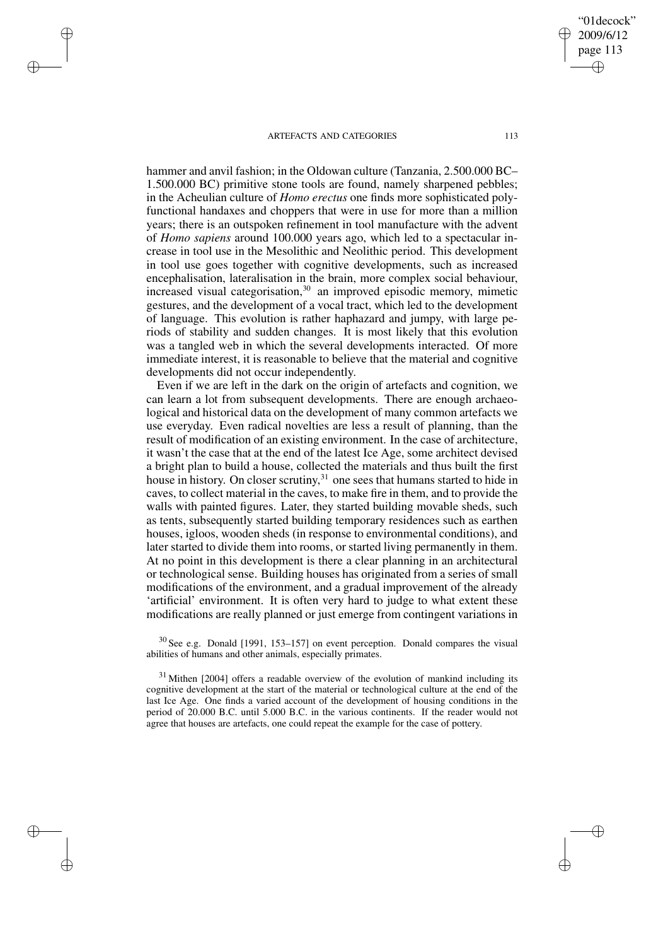✐

✐

✐

✐

hammer and anvil fashion; in the Oldowan culture (Tanzania, 2.500.000 BC– 1.500.000 BC) primitive stone tools are found, namely sharpened pebbles; in the Acheulian culture of *Homo erectus* one finds more sophisticated polyfunctional handaxes and choppers that were in use for more than a million years; there is an outspoken refinement in tool manufacture with the advent of *Homo sapiens* around 100.000 years ago, which led to a spectacular increase in tool use in the Mesolithic and Neolithic period. This development in tool use goes together with cognitive developments, such as increased encephalisation, lateralisation in the brain, more complex social behaviour, increased visual categorisation,<sup>30</sup> an improved episodic memory, mimetic gestures, and the development of a vocal tract, which led to the development of language. This evolution is rather haphazard and jumpy, with large periods of stability and sudden changes. It is most likely that this evolution was a tangled web in which the several developments interacted. Of more immediate interest, it is reasonable to believe that the material and cognitive developments did not occur independently.

Even if we are left in the dark on the origin of artefacts and cognition, we can learn a lot from subsequent developments. There are enough archaeological and historical data on the development of many common artefacts we use everyday. Even radical novelties are less a result of planning, than the result of modification of an existing environment. In the case of architecture, it wasn't the case that at the end of the latest Ice Age, some architect devised a bright plan to build a house, collected the materials and thus built the first house in history. On closer scrutiny,<sup>31</sup> one sees that humans started to hide in caves, to collect material in the caves, to make fire in them, and to provide the walls with painted figures. Later, they started building movable sheds, such as tents, subsequently started building temporary residences such as earthen houses, igloos, wooden sheds (in response to environmental conditions), and later started to divide them into rooms, or started living permanently in them. At no point in this development is there a clear planning in an architectural or technological sense. Building houses has originated from a series of small modifications of the environment, and a gradual improvement of the already 'artificial' environment. It is often very hard to judge to what extent these modifications are really planned or just emerge from contingent variations in

 $30$  See e.g. Donald [1991, 153–157] on event perception. Donald compares the visual abilities of humans and other animals, especially primates.

 $31$  Mithen [2004] offers a readable overview of the evolution of mankind including its cognitive development at the start of the material or technological culture at the end of the last Ice Age. One finds a varied account of the development of housing conditions in the period of 20.000 B.C. until 5.000 B.C. in the various continents. If the reader would not agree that houses are artefacts, one could repeat the example for the case of pottery.

"01decock" 2009/6/12 page 113

✐

✐

✐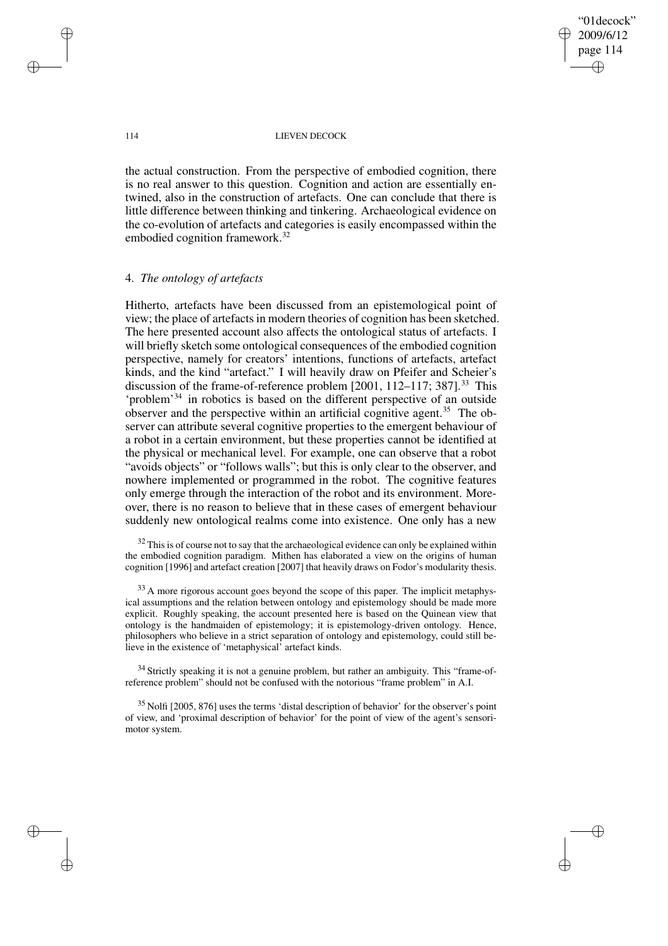"01decock" 2009/6/12 page 114 ✐ ✐

✐

✐

## 114 LIEVEN DECOCK

the actual construction. From the perspective of embodied cognition, there is no real answer to this question. Cognition and action are essentially entwined, also in the construction of artefacts. One can conclude that there is little difference between thinking and tinkering. Archaeological evidence on the co-evolution of artefacts and categories is easily encompassed within the embodied cognition framework.<sup>32</sup>

# 4. *The ontology of artefacts*

Hitherto, artefacts have been discussed from an epistemological point of view; the place of artefactsin modern theories of cognition has been sketched. The here presented account also affects the ontological status of artefacts. I will briefly sketch some ontological consequences of the embodied cognition perspective, namely for creators' intentions, functions of artefacts, artefact kinds, and the kind "artefact." I will heavily draw on Pfeifer and Scheier's discussion of the frame-of-reference problem [2001, 112–117; 387].<sup>33</sup> This 'problem'<sup>34</sup> in robotics is based on the different perspective of an outside observer and the perspective within an artificial cognitive agent.<sup>35</sup> The observer can attribute several cognitive properties to the emergent behaviour of a robot in a certain environment, but these properties cannot be identified at the physical or mechanical level. For example, one can observe that a robot "avoids objects" or "follows walls"; but this is only clear to the observer, and nowhere implemented or programmed in the robot. The cognitive features only emerge through the interaction of the robot and its environment. Moreover, there is no reason to believe that in these cases of emergent behaviour suddenly new ontological realms come into existence. One only has a new

 $32$  This is of course not to say that the archaeological evidence can only be explained within the embodied cognition paradigm. Mithen has elaborated a view on the origins of human cognition [1996] and artefact creation [2007] that heavily draws on Fodor's modularity thesis.

<sup>33</sup> A more rigorous account goes beyond the scope of this paper. The implicit metaphysical assumptions and the relation between ontology and epistemology should be made more explicit. Roughly speaking, the account presented here is based on the Quinean view that ontology is the handmaiden of epistemology; it is epistemology-driven ontology. Hence, philosophers who believe in a strict separation of ontology and epistemology, could still believe in the existence of 'metaphysical' artefact kinds.

 $34$  Strictly speaking it is not a genuine problem, but rather an ambiguity. This "frame-ofreference problem" should not be confused with the notorious "frame problem" in A.I.

 $35$  Nolfi [2005, 876] uses the terms 'distal description of behavior' for the observer's point of view, and 'proximal description of behavior' for the point of view of the agent's sensorimotor system.

✐

✐

✐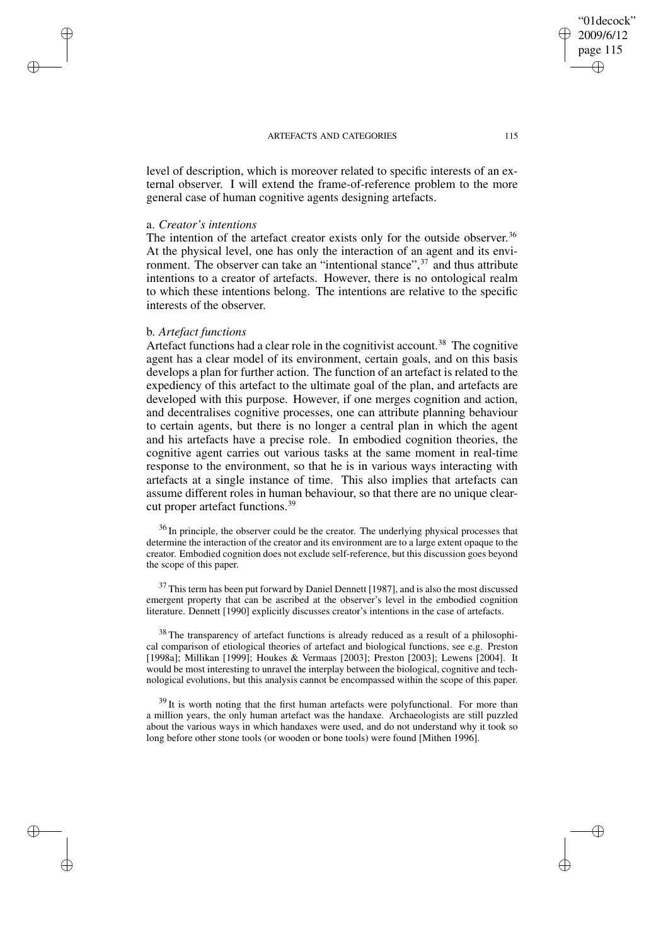level of description, which is moreover related to specific interests of an external observer. I will extend the frame-of-reference problem to the more general case of human cognitive agents designing artefacts.

## a. *Creator's intentions*

✐

✐

✐

✐

The intention of the artefact creator exists only for the outside observer.<sup>36</sup> At the physical level, one has only the interaction of an agent and its environment. The observer can take an "intentional stance",<sup>37</sup> and thus attribute intentions to a creator of artefacts. However, there is no ontological realm to which these intentions belong. The intentions are relative to the specific interests of the observer.

# b. *Artefact functions*

Artefact functions had a clear role in the cognitivist account.<sup>38</sup> The cognitive agent has a clear model of its environment, certain goals, and on this basis develops a plan for further action. The function of an artefact is related to the expediency of this artefact to the ultimate goal of the plan, and artefacts are developed with this purpose. However, if one merges cognition and action, and decentralises cognitive processes, one can attribute planning behaviour to certain agents, but there is no longer a central plan in which the agent and his artefacts have a precise role. In embodied cognition theories, the cognitive agent carries out various tasks at the same moment in real-time response to the environment, so that he is in various ways interacting with artefacts at a single instance of time. This also implies that artefacts can assume different roles in human behaviour, so that there are no unique clearcut proper artefact functions.<sup>39</sup>

<sup>36</sup> In principle, the observer could be the creator. The underlying physical processes that determine the interaction of the creator and its environment are to a large extent opaque to the creator. Embodied cognition does not exclude self-reference, but this discussion goes beyond the scope of this paper.

<sup>37</sup> This term has been put forward by Daniel Dennett [1987], and is also the most discussed emergent property that can be ascribed at the observer's level in the embodied cognition literature. Dennett [1990] explicitly discusses creator's intentions in the case of artefacts.

<sup>38</sup> The transparency of artefact functions is already reduced as a result of a philosophical comparison of etiological theories of artefact and biological functions, see e.g. Preston [1998a]; Millikan [1999]; Houkes & Vermaas [2003]; Preston [2003]; Lewens [2004]. It would be most interesting to unravel the interplay between the biological, cognitive and technological evolutions, but this analysis cannot be encompassed within the scope of this paper.

 $39$  It is worth noting that the first human artefacts were polyfunctional. For more than a million years, the only human artefact was the handaxe. Archaeologists are still puzzled about the various ways in which handaxes were used, and do not understand why it took so long before other stone tools (or wooden or bone tools) were found [Mithen 1996].

"01decock" 2009/6/12 page 115

✐

✐

✐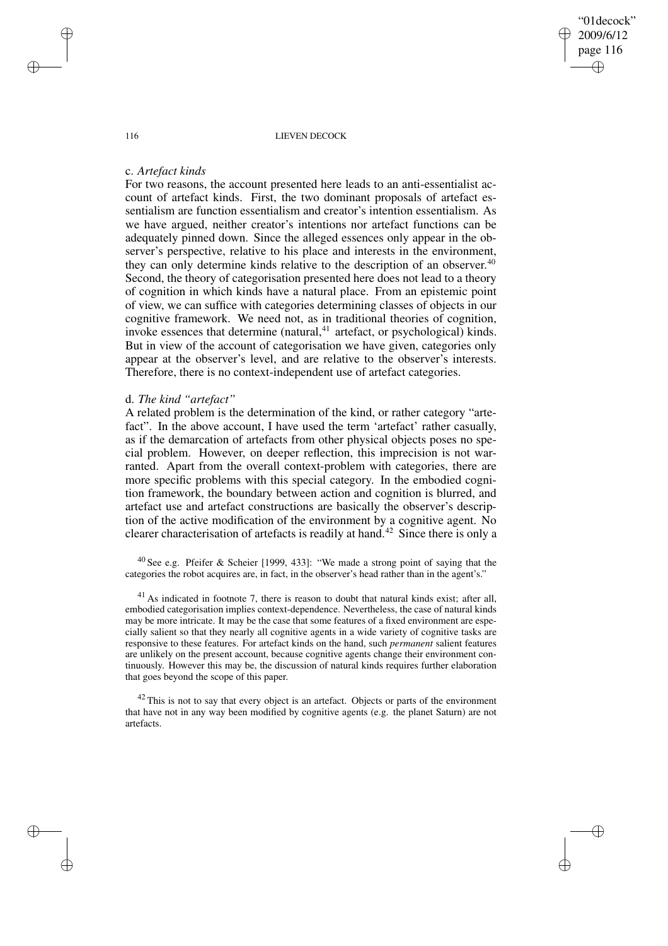"01decock" 2009/6/12 page 116 ✐ ✐

✐

✐

## 116 LIEVEN DECOCK

## c. *Artefact kinds*

For two reasons, the account presented here leads to an anti-essentialist account of artefact kinds. First, the two dominant proposals of artefact essentialism are function essentialism and creator's intention essentialism. As we have argued, neither creator's intentions nor artefact functions can be adequately pinned down. Since the alleged essences only appear in the observer's perspective, relative to his place and interests in the environment, they can only determine kinds relative to the description of an observer. 40 Second, the theory of categorisation presented here does not lead to a theory of cognition in which kinds have a natural place. From an epistemic point of view, we can suffice with categories determining classes of objects in our cognitive framework. We need not, as in traditional theories of cognition, invoke essences that determine (natural, $41$  artefact, or psychological) kinds. But in view of the account of categorisation we have given, categories only appear at the observer's level, and are relative to the observer's interests. Therefore, there is no context-independent use of artefact categories.

## d. *The kind "artefact"*

A related problem is the determination of the kind, or rather category "artefact". In the above account, I have used the term 'artefact' rather casually, as if the demarcation of artefacts from other physical objects poses no special problem. However, on deeper reflection, this imprecision is not warranted. Apart from the overall context-problem with categories, there are more specific problems with this special category. In the embodied cognition framework, the boundary between action and cognition is blurred, and artefact use and artefact constructions are basically the observer's description of the active modification of the environment by a cognitive agent. No clearer characterisation of artefacts is readily at hand.<sup>42</sup> Since there is only a

<sup>40</sup> See e.g. Pfeifer & Scheier [1999, 433]: "We made a strong point of saying that the categories the robot acquires are, in fact, in the observer's head rather than in the agent's."

 $41$  As indicated in footnote 7, there is reason to doubt that natural kinds exist; after all, embodied categorisation implies context-dependence. Nevertheless, the case of natural kinds may be more intricate. It may be the case that some features of a fixed environment are especially salient so that they nearly all cognitive agents in a wide variety of cognitive tasks are responsive to these features. For artefact kinds on the hand, such *permanent* salient features are unlikely on the present account, because cognitive agents change their environment continuously. However this may be, the discussion of natural kinds requires further elaboration that goes beyond the scope of this paper.

 $42$  This is not to say that every object is an artefact. Objects or parts of the environment that have not in any way been modified by cognitive agents (e.g. the planet Saturn) are not artefacts.

✐

✐

✐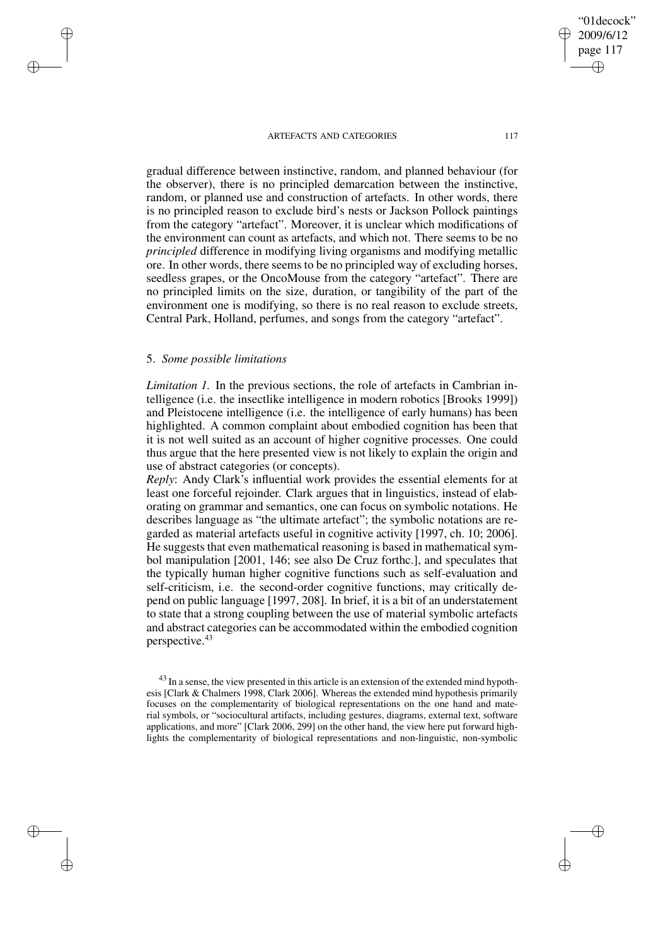gradual difference between instinctive, random, and planned behaviour (for the observer), there is no principled demarcation between the instinctive, random, or planned use and construction of artefacts. In other words, there is no principled reason to exclude bird's nests or Jackson Pollock paintings from the category "artefact". Moreover, it is unclear which modifications of the environment can count as artefacts, and which not. There seems to be no *principled* difference in modifying living organisms and modifying metallic ore. In other words, there seems to be no principled way of excluding horses, seedless grapes, or the OncoMouse from the category "artefact". There are no principled limits on the size, duration, or tangibility of the part of the environment one is modifying, so there is no real reason to exclude streets, Central Park, Holland, perfumes, and songs from the category "artefact".

# 5. *Some possible limitations*

✐

✐

✐

✐

*Limitation 1.* In the previous sections, the role of artefacts in Cambrian intelligence (i.e. the insectlike intelligence in modern robotics [Brooks 1999]) and Pleistocene intelligence (i.e. the intelligence of early humans) has been highlighted. A common complaint about embodied cognition has been that it is not well suited as an account of higher cognitive processes. One could thus argue that the here presented view is not likely to explain the origin and use of abstract categories (or concepts).

*Reply*: Andy Clark's influential work provides the essential elements for at least one forceful rejoinder. Clark argues that in linguistics, instead of elaborating on grammar and semantics, one can focus on symbolic notations. He describes language as "the ultimate artefact"; the symbolic notations are regarded as material artefacts useful in cognitive activity [1997, ch. 10; 2006]. He suggests that even mathematical reasoning is based in mathematical symbol manipulation [2001, 146; see also De Cruz forthc.], and speculates that the typically human higher cognitive functions such as self-evaluation and self-criticism, i.e. the second-order cognitive functions, may critically depend on public language [1997, 208]. In brief, it is a bit of an understatement to state that a strong coupling between the use of material symbolic artefacts and abstract categories can be accommodated within the embodied cognition perspective.<sup>43</sup>

<sup>43</sup> In a sense, the view presented in this article is an extension of the extended mind hypothesis [Clark & Chalmers 1998, Clark 2006]. Whereas the extended mind hypothesis primarily focuses on the complementarity of biological representations on the one hand and material symbols, or "sociocultural artifacts, including gestures, diagrams, external text, software applications, and more" [Clark 2006, 299] on the other hand, the view here put forward highlights the complementarity of biological representations and non-linguistic, non-symbolic

"01decock" 2009/6/12 page 117

✐

✐

✐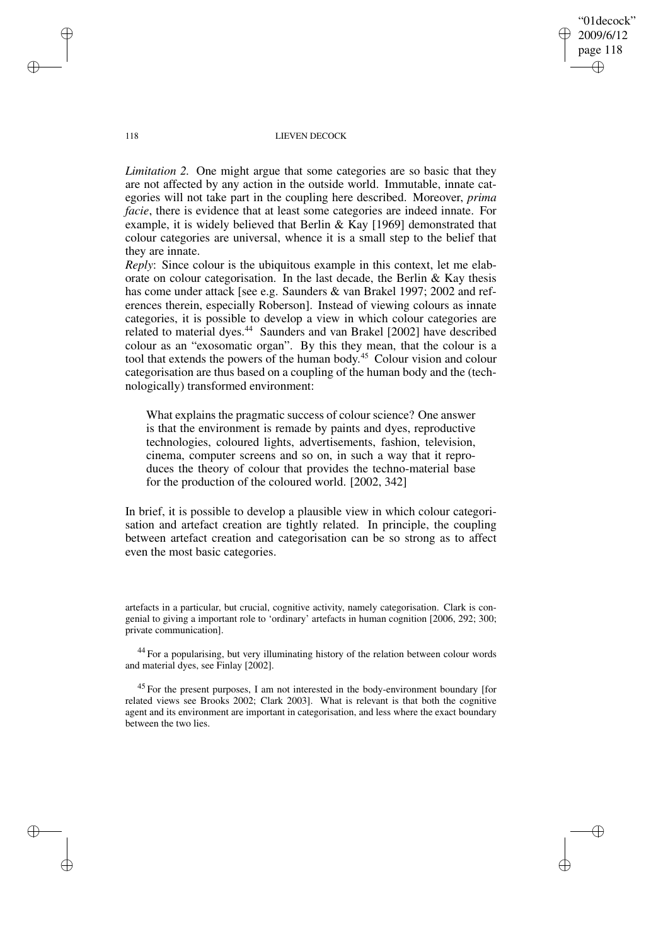"01decock" 2009/6/12 page 118 ✐ ✐

✐

✐

## 118 LIEVEN DECOCK

*Limitation 2.* One might argue that some categories are so basic that they are not affected by any action in the outside world. Immutable, innate categories will not take part in the coupling here described. Moreover, *prima facie*, there is evidence that at least some categories are indeed innate. For example, it is widely believed that Berlin & Kay [1969] demonstrated that colour categories are universal, whence it is a small step to the belief that they are innate.

*Reply:* Since colour is the ubiquitous example in this context, let me elaborate on colour categorisation. In the last decade, the Berlin  $\&$  Kay thesis has come under attack [see e.g. Saunders & van Brakel 1997; 2002 and references therein, especially Roberson]. Instead of viewing colours as innate categories, it is possible to develop a view in which colour categories are related to material dyes.<sup>44</sup> Saunders and van Brakel [2002] have described colour as an "exosomatic organ". By this they mean, that the colour is a tool that extends the powers of the human body. <sup>45</sup> Colour vision and colour categorisation are thus based on a coupling of the human body and the (technologically) transformed environment:

What explains the pragmatic success of colour science? One answer is that the environment is remade by paints and dyes, reproductive technologies, coloured lights, advertisements, fashion, television, cinema, computer screens and so on, in such a way that it reproduces the theory of colour that provides the techno-material base for the production of the coloured world. [2002, 342]

In brief, it is possible to develop a plausible view in which colour categorisation and artefact creation are tightly related. In principle, the coupling between artefact creation and categorisation can be so strong as to affect even the most basic categories.

artefacts in a particular, but crucial, cognitive activity, namely categorisation. Clark is congenial to giving a important role to 'ordinary' artefacts in human cognition [2006, 292; 300; private communication].

<sup>44</sup> For a popularising, but very illuminating history of the relation between colour words and material dyes, see Finlay [2002].

<sup>45</sup> For the present purposes, I am not interested in the body-environment boundary [for related views see Brooks 2002; Clark 2003]. What is relevant is that both the cognitive agent and its environment are important in categorisation, and less where the exact boundary between the two lies.

✐

✐

✐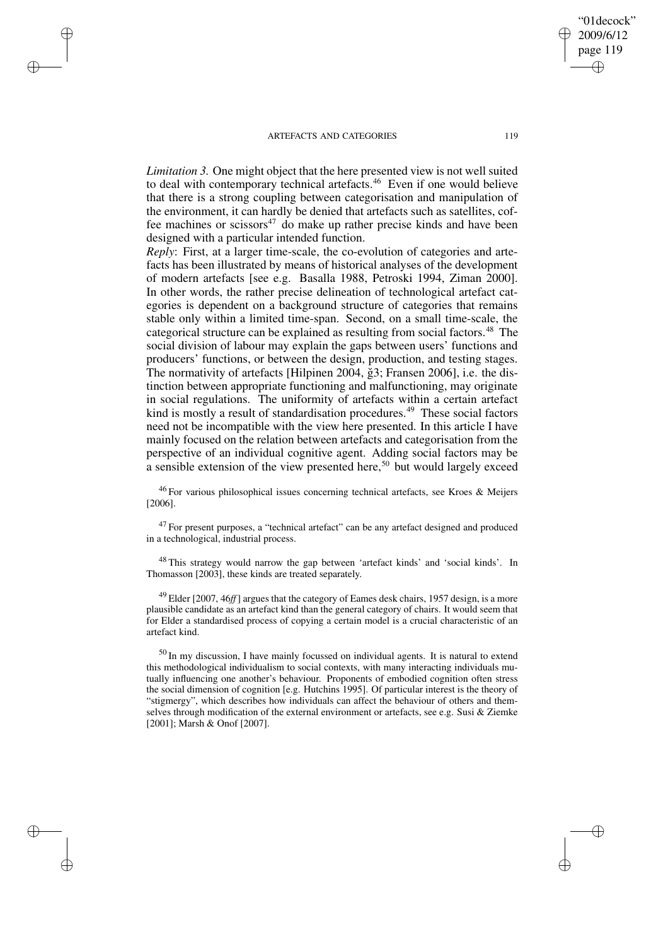✐

✐

✐

✐

*Limitation* 3. One might object that the here presented view is not well suited to deal with contemporary technical artefacts.<sup>46</sup> Even if one would believe that there is a strong coupling between categorisation and manipulation of the environment, it can hardly be denied that artefacts such as satellites, coffee machines or scissors<sup>47</sup> do make up rather precise kinds and have been designed with a particular intended function.

*Reply*: First, at a larger time-scale, the co-evolution of categories and artefacts has been illustrated by means of historical analyses of the development of modern artefacts [see e.g. Basalla 1988, Petroski 1994, Ziman 2000]. In other words, the rather precise delineation of technological artefact categories is dependent on a background structure of categories that remains stable only within a limited time-span. Second, on a small time-scale, the categorical structure can be explained as resulting from social factors.<sup>48</sup> The social division of labour may explain the gaps between users' functions and producers' functions, or between the design, production, and testing stages. The normativity of artefacts [Hilpinen 2004, ğ3; Fransen 2006], i.e. the distinction between appropriate functioning and malfunctioning, may originate in social regulations. The uniformity of artefacts within a certain artefact kind is mostly a result of standardisation procedures.<sup>49</sup> These social factors need not be incompatible with the view here presented. In this article I have mainly focused on the relation between artefacts and categorisation from the perspective of an individual cognitive agent. Adding social factors may be a sensible extension of the view presented here,<sup>50</sup> but would largely exceed

<sup>46</sup> For various philosophical issues concerning technical artefacts, see Kroes & Meijers [2006].

 $47$  For present purposes, a "technical artefact" can be any artefact designed and produced in a technological, industrial process.

<sup>48</sup> This strategy would narrow the gap between 'artefact kinds' and 'social kinds'. In Thomasson [2003], these kinds are treated separately.

<sup>49</sup> Elder [2007, 46*ff*] argues that the category of Eames desk chairs, 1957 design, is a more plausible candidate as an artefact kind than the general category of chairs. It would seem that for Elder a standardised process of copying a certain model is a crucial characteristic of an artefact kind.

 $50$  In my discussion, I have mainly focussed on individual agents. It is natural to extend this methodological individualism to social contexts, with many interacting individuals mutually influencing one another's behaviour. Proponents of embodied cognition often stress the social dimension of cognition [e.g. Hutchins 1995]. Of particular interest is the theory of "stigmergy", which describes how individuals can affect the behaviour of others and themselves through modification of the external environment or artefacts, see e.g. Susi & Ziemke [2001]: Marsh & Onof [2007].

"01decock" 2009/6/12 page 119

✐

✐

✐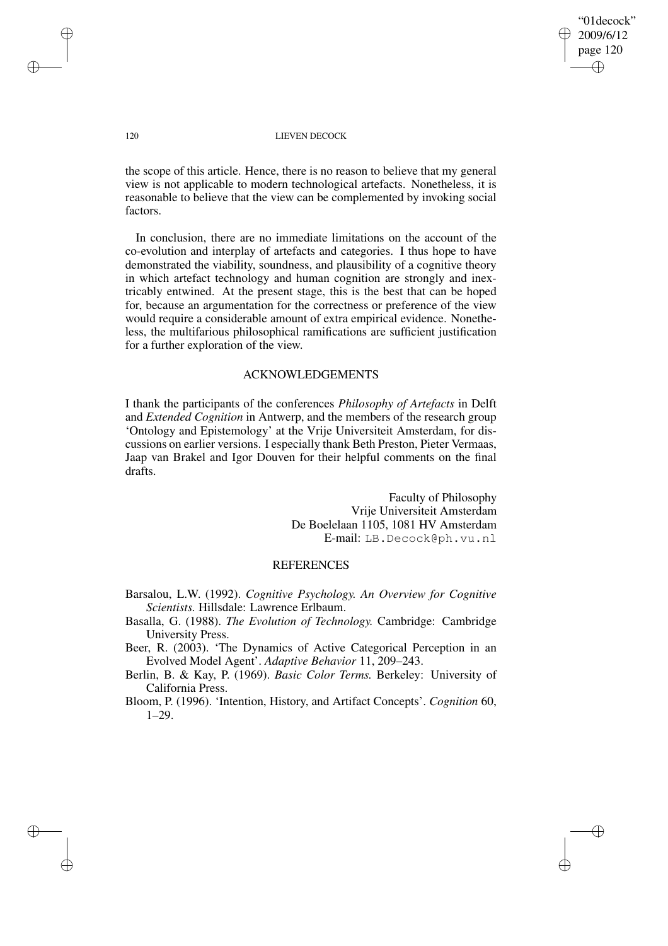"01decock" 2009/6/12 page 120 ✐ ✐

✐

✐

## 120 LIEVEN DECOCK

the scope of this article. Hence, there is no reason to believe that my general view is not applicable to modern technological artefacts. Nonetheless, it is reasonable to believe that the view can be complemented by invoking social factors.

In conclusion, there are no immediate limitations on the account of the co-evolution and interplay of artefacts and categories. I thus hope to have demonstrated the viability, soundness, and plausibility of a cognitive theory in which artefact technology and human cognition are strongly and inextricably entwined. At the present stage, this is the best that can be hoped for, because an argumentation for the correctness or preference of the view would require a considerable amount of extra empirical evidence. Nonetheless, the multifarious philosophical ramifications are sufficient justification for a further exploration of the view.

# ACKNOWLEDGEMENTS

I thank the participants of the conferences *Philosophy of Artefacts* in Delft and *Extended Cognition* in Antwerp, and the members of the research group 'Ontology and Epistemology' at the Vrije Universiteit Amsterdam, for discussions on earlier versions. I especially thank Beth Preston, Pieter Vermaas, Jaap van Brakel and Igor Douven for their helpful comments on the final drafts.

> Faculty of Philosophy Vrije Universiteit Amsterdam De Boelelaan 1105, 1081 HV Amsterdam E-mail: LB.Decock@ph.vu.nl

# **REFERENCES**

- Barsalou, L.W. (1992). *Cognitive Psychology. An Overview for Cognitive Scientists.* Hillsdale: Lawrence Erlbaum.
- Basalla, G. (1988). *The Evolution of Technology.* Cambridge: Cambridge University Press.

Beer, R. (2003). 'The Dynamics of Active Categorical Perception in an Evolved Model Agent'. *Adaptive Behavior* 11, 209–243.

Berlin, B. & Kay, P. (1969). *Basic Color Terms.* Berkeley: University of California Press.

Bloom, P. (1996). 'Intention, History, and Artifact Concepts'. *Cognition* 60, 1–29.

✐

✐

✐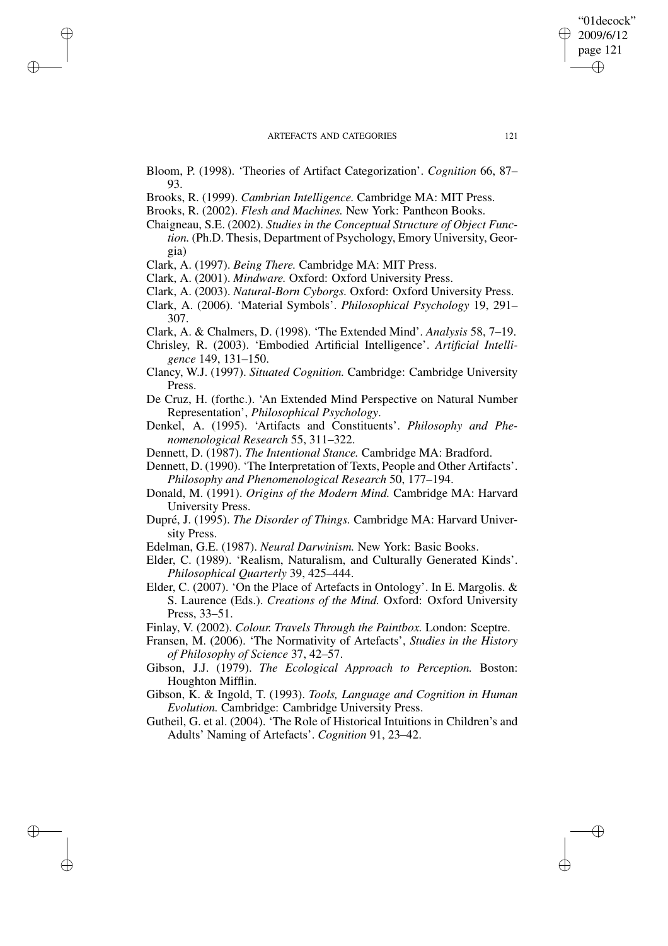Bloom, P. (1998). 'Theories of Artifact Categorization'. *Cognition* 66, 87– 93.

Brooks, R. (1999). *Cambrian Intelligence.* Cambridge MA: MIT Press.

Brooks, R. (2002). *Flesh and Machines.* New York: Pantheon Books.

Chaigneau, S.E. (2002). *Studies in the Conceptual Structure of Object Function.* (Ph.D. Thesis, Department of Psychology, Emory University, Georgia)

Clark, A. (1997). *Being There.* Cambridge MA: MIT Press.

✐

✐

✐

✐

Clark, A. (2001). *Mindware.* Oxford: Oxford University Press.

Clark, A. (2003). *Natural-Born Cyborgs.* Oxford: Oxford University Press.

Clark, A. (2006). 'Material Symbols'. *Philosophical Psychology* 19, 291– 307.

Clark, A. & Chalmers, D. (1998). 'The Extended Mind'. *Analysis* 58, 7–19.

- Chrisley, R. (2003). 'Embodied Artificial Intelligence'. *Artificial Intelligence* 149, 131–150.
- Clancy, W.J. (1997). *Situated Cognition.* Cambridge: Cambridge University Press.

De Cruz, H. (forthc.). 'An Extended Mind Perspective on Natural Number Representation', *Philosophical Psychology*.

- Denkel, A. (1995). 'Artifacts and Constituents'. *Philosophy and Phenomenological Research* 55, 311–322.
- Dennett, D. (1987). *The Intentional Stance.* Cambridge MA: Bradford.

Dennett, D. (1990). 'The Interpretation of Texts, People and Other Artifacts'. *Philosophy and Phenomenological Research* 50, 177–194.

- Donald, M. (1991). *Origins of the Modern Mind.* Cambridge MA: Harvard University Press.
- Dupré, J. (1995). *The Disorder of Things.* Cambridge MA: Harvard University Press.
- Edelman, G.E. (1987). *Neural Darwinism.* New York: Basic Books.

Elder, C. (1989). 'Realism, Naturalism, and Culturally Generated Kinds'. *Philosophical Quarterly* 39, 425–444.

Elder, C. (2007). 'On the Place of Artefacts in Ontology'. In E. Margolis. & S. Laurence (Eds.). *Creations of the Mind.* Oxford: Oxford University Press, 33–51.

Finlay, V. (2002). *Colour. Travels Through the Paintbox.* London: Sceptre.

Fransen, M. (2006). 'The Normativity of Artefacts', *Studies in the History of Philosophy of Science* 37, 42–57.

Gibson, J.J. (1979). *The Ecological Approach to Perception.* Boston: Houghton Mifflin.

Gibson, K. & Ingold, T. (1993). *Tools, Language and Cognition in Human Evolution.* Cambridge: Cambridge University Press.

Gutheil, G. et al. (2004). 'The Role of Historical Intuitions in Children's and Adults' Naming of Artefacts'. *Cognition* 91, 23–42.

"01decock" 2009/6/12 page 121

✐

✐

✐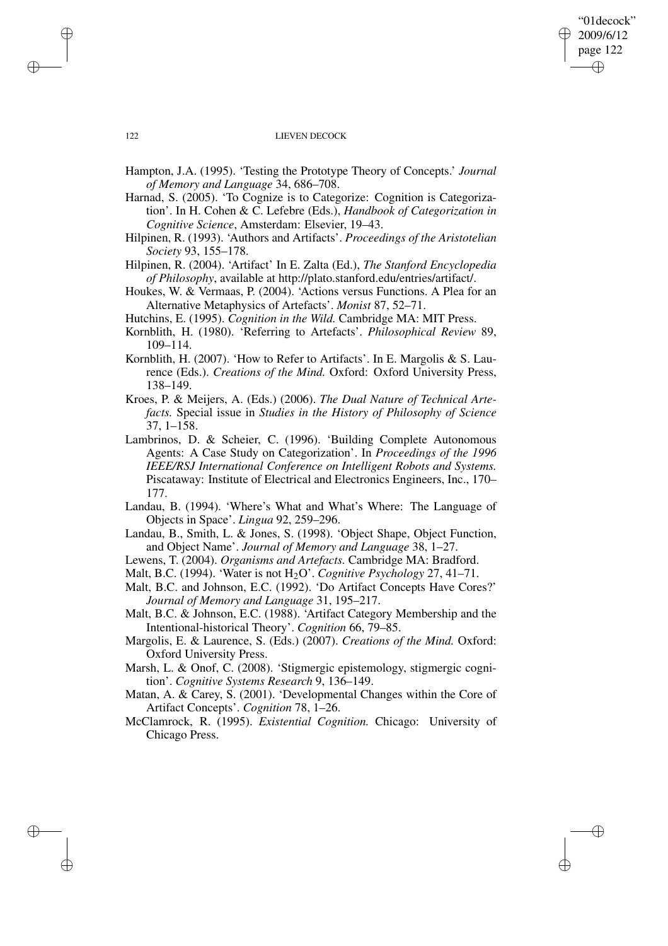## "01decock" 2009/6/12 page 122 ✐ ✐

✐

✐

## 122 LIEVEN DECOCK

- Hampton, J.A. (1995). 'Testing the Prototype Theory of Concepts.' *Journal of Memory and Language* 34, 686–708.
- Harnad, S. (2005). 'To Cognize is to Categorize: Cognition is Categorization'. In H. Cohen & C. Lefebre (Eds.), *Handbook of Categorization in Cognitive Science*, Amsterdam: Elsevier, 19–43.
- Hilpinen, R. (1993). 'Authors and Artifacts'. *Proceedings of the Aristotelian Society* 93, 155–178.

Hilpinen, R. (2004). 'Artifact' In E. Zalta (Ed.), *The Stanford Encyclopedia of Philosophy*, available at http://plato.stanford.edu/entries/artifact/.

- Houkes, W. & Vermaas, P. (2004). 'Actions versus Functions. A Plea for an Alternative Metaphysics of Artefacts'. *Monist* 87, 52–71.
- Hutchins, E. (1995). *Cognition in the Wild.* Cambridge MA: MIT Press.
- Kornblith, H. (1980). 'Referring to Artefacts'. *Philosophical Review* 89, 109–114.
- Kornblith, H. (2007). 'How to Refer to Artifacts'. In E. Margolis & S. Laurence (Eds.). *Creations of the Mind.* Oxford: Oxford University Press, 138–149.
- Kroes, P. & Meijers, A. (Eds.) (2006). *The Dual Nature of Technical Artefacts.* Special issue in *Studies in the History of Philosophy of Science* 37, 1–158.
- Lambrinos, D. & Scheier, C. (1996). 'Building Complete Autonomous Agents: A Case Study on Categorization'. In *Proceedings of the 1996 IEEE/RSJ International Conference on Intelligent Robots and Systems.* Piscataway: Institute of Electrical and Electronics Engineers, Inc., 170– 177.
- Landau, B. (1994). 'Where's What and What's Where: The Language of Objects in Space'. *Lingua* 92, 259–296.
- Landau, B., Smith, L. & Jones, S. (1998). 'Object Shape, Object Function, and Object Name'. *Journal of Memory and Language* 38, 1–27.
- Lewens, T. (2004). *Organisms and Artefacts.* Cambridge MA: Bradford.
- Malt, B.C. (1994). 'Water is not H2O'. *Cognitive Psychology* 27, 41–71.
- Malt, B.C. and Johnson, E.C. (1992). 'Do Artifact Concepts Have Cores?' *Journal of Memory and Language* 31, 195–217.
- Malt, B.C. & Johnson, E.C. (1988). 'Artifact Category Membership and the Intentional-historical Theory'. *Cognition* 66, 79–85.
- Margolis, E. & Laurence, S. (Eds.) (2007). *Creations of the Mind.* Oxford: Oxford University Press.
- Marsh, L. & Onof, C. (2008). 'Stigmergic epistemology, stigmergic cognition'. *Cognitive Systems Research* 9, 136–149.
- Matan, A. & Carey, S. (2001). 'Developmental Changes within the Core of Artifact Concepts'. *Cognition* 78, 1–26.
- McClamrock, R. (1995). *Existential Cognition.* Chicago: University of Chicago Press.

✐

✐

✐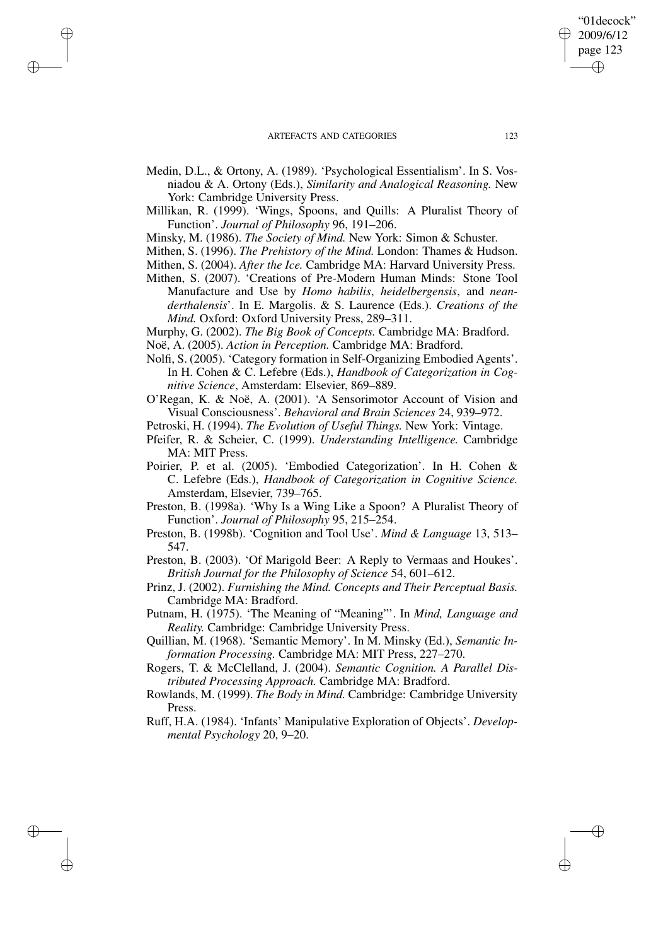✐

✐

✐

✐

- Medin, D.L., & Ortony, A. (1989). 'Psychological Essentialism'. In S. Vosniadou & A. Ortony (Eds.), *Similarity and Analogical Reasoning.* New York: Cambridge University Press.
- Millikan, R. (1999). 'Wings, Spoons, and Quills: A Pluralist Theory of Function'. *Journal of Philosophy* 96, 191–206.
- Minsky, M. (1986). *The Society of Mind.* New York: Simon & Schuster.
- Mithen, S. (1996). *The Prehistory of the Mind.* London: Thames & Hudson.
- Mithen, S. (2004). *After the Ice.* Cambridge MA: Harvard University Press.
- Mithen, S. (2007). 'Creations of Pre-Modern Human Minds: Stone Tool Manufacture and Use by *Homo habilis*, *heidelbergensis*, and *neanderthalensis*'. In E. Margolis. & S. Laurence (Eds.). *Creations of the Mind.* Oxford: Oxford University Press, 289–311.
- Murphy, G. (2002). *The Big Book of Concepts.* Cambridge MA: Bradford.
- Noë, A. (2005). *Action in Perception.* Cambridge MA: Bradford.
- Nolfi, S. (2005). 'Category formation in Self-Organizing Embodied Agents'. In H. Cohen & C. Lefebre (Eds.), *Handbook of Categorization in Cognitive Science*, Amsterdam: Elsevier, 869–889.
- O'Regan, K. & Noë, A. (2001). 'A Sensorimotor Account of Vision and Visual Consciousness'. *Behavioral and Brain Sciences* 24, 939–972.
- Petroski, H. (1994). *The Evolution of Useful Things.* New York: Vintage.
- Pfeifer, R. & Scheier, C. (1999). *Understanding Intelligence.* Cambridge MA: MIT Press.
- Poirier, P. et al. (2005). 'Embodied Categorization'. In H. Cohen & C. Lefebre (Eds.), *Handbook of Categorization in Cognitive Science.* Amsterdam, Elsevier, 739–765.
- Preston, B. (1998a). 'Why Is a Wing Like a Spoon? A Pluralist Theory of Function'. *Journal of Philosophy* 95, 215–254.
- Preston, B. (1998b). 'Cognition and Tool Use'. *Mind & Language* 13, 513– 547.
- Preston, B. (2003). 'Of Marigold Beer: A Reply to Vermaas and Houkes'. *British Journal for the Philosophy of Science* 54, 601–612.
- Prinz, J. (2002). *Furnishing the Mind. Concepts and Their Perceptual Basis.* Cambridge MA: Bradford.
- Putnam, H. (1975). 'The Meaning of "Meaning"'. In *Mind, Language and Reality.* Cambridge: Cambridge University Press.
- Quillian, M. (1968). 'Semantic Memory'. In M. Minsky (Ed.), *Semantic Information Processing.* Cambridge MA: MIT Press, 227–270.
- Rogers, T. & McClelland, J. (2004). *Semantic Cognition. A Parallel Distributed Processing Approach.* Cambridge MA: Bradford.
- Rowlands, M. (1999). *The Body in Mind.* Cambridge: Cambridge University Press.
- Ruff, H.A. (1984). 'Infants' Manipulative Exploration of Objects'. *Developmental Psychology* 20, 9–20.

"01decock" 2009/6/12 page 123

✐

✐

✐